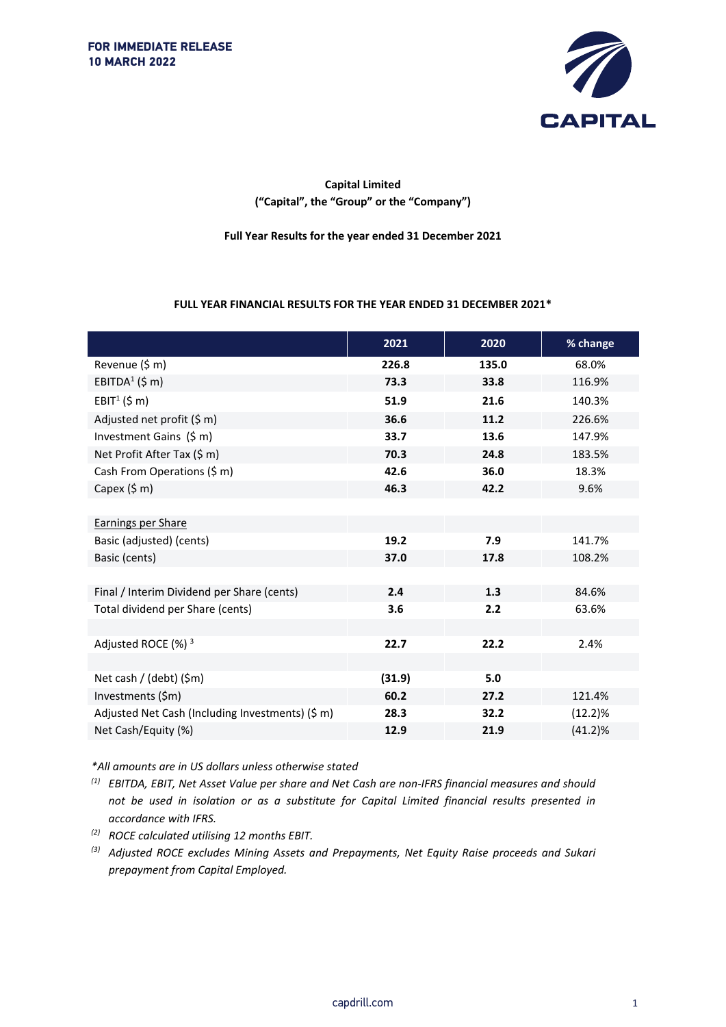

## **Capital Limited ("Capital", the "Group" or the "Company")**

**Full Year Results for the year ended 31 December 2021**

#### **FULL YEAR FINANCIAL RESULTS FOR THE YEAR ENDED 31 DECEMBER 2021\***

|                                                  | 2021   | 2020  | % change   |
|--------------------------------------------------|--------|-------|------------|
| Revenue (\$ m)                                   | 226.8  | 135.0 | 68.0%      |
| EBITDA <sup>1</sup> (\$ m)                       | 73.3   | 33.8  | 116.9%     |
| EBIT <sup>1</sup> (\$ m)                         | 51.9   | 21.6  | 140.3%     |
| Adjusted net profit (\$ m)                       | 36.6   | 11.2  | 226.6%     |
| Investment Gains (\$ m)                          | 33.7   | 13.6  | 147.9%     |
| Net Profit After Tax (\$ m)                      | 70.3   | 24.8  | 183.5%     |
| Cash From Operations (\$ m)                      | 42.6   | 36.0  | 18.3%      |
| Capex $(5 \text{ m})$                            | 46.3   | 42.2  | 9.6%       |
|                                                  |        |       |            |
| <b>Earnings per Share</b>                        |        |       |            |
| Basic (adjusted) (cents)                         | 19.2   | 7.9   | 141.7%     |
| Basic (cents)                                    | 37.0   | 17.8  | 108.2%     |
|                                                  |        |       |            |
| Final / Interim Dividend per Share (cents)       | 2.4    | 1.3   | 84.6%      |
| Total dividend per Share (cents)                 | 3.6    | 2.2   | 63.6%      |
|                                                  |        |       |            |
| Adjusted ROCE (%) <sup>3</sup>                   | 22.7   | 22.2  | 2.4%       |
|                                                  |        |       |            |
| Net cash / (debt) (\$m)                          | (31.9) | 5.0   |            |
| Investments (\$m)                                | 60.2   | 27.2  | 121.4%     |
| Adjusted Net Cash (Including Investments) (\$ m) | 28.3   | 32.2  | (12.2)%    |
| Net Cash/Equity (%)                              | 12.9   | 21.9  | $(41.2)\%$ |

*\*All amounts are in US dollars unless otherwise stated*

*(1) EBITDA, EBIT, Net Asset Value per share and Net Cash are non-IFRS financial measures and should not be used in isolation or as a substitute for Capital Limited financial results presented in accordance with IFRS.*

- *(2) ROCE calculated utilising 12 months EBIT.*
- *(3) Adjusted ROCE excludes Mining Assets and Prepayments, Net Equity Raise proceeds and Sukari prepayment from Capital Employed.*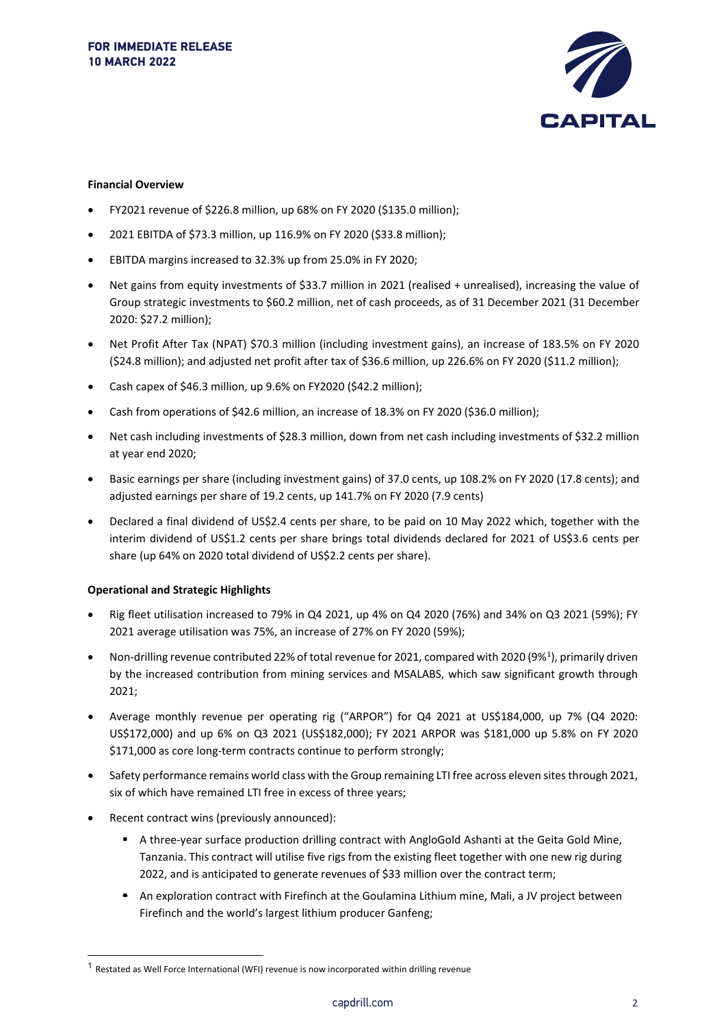

#### **Financial Overview**

- FY2021 revenue of \$226.8 million, up 68% on FY 2020 (\$135.0 million);
- 2021 EBITDA of \$73.3 million, up 116.9% on FY 2020 (\$33.8 million);
- EBITDA margins increased to 32.3% up from 25.0% in FY 2020;
- Net gains from equity investments of \$33.7 million in 2021 (realised + unrealised), increasing the value of Group strategic investments to \$60.2 million, net of cash proceeds, as of 31 December 2021 (31 December 2020: \$27.2 million);
- Net Profit After Tax (NPAT) \$70.3 million (including investment gains), an increase of 183.5% on FY 2020 (\$24.8 million); and adjusted net profit after tax of \$36.6 million, up 226.6% on FY 2020 (\$11.2 million);
- Cash capex of \$46.3 million, up 9.6% on FY2020 (\$42.2 million);
- Cash from operations of \$42.6 million, an increase of 18.3% on FY 2020 (\$36.0 million);
- Net cash including investments of \$28.3 million, down from net cash including investments of \$32.2 million at year end 2020;
- Basic earnings per share (including investment gains) of 37.0 cents, up 108.2% on FY 2020 (17.8 cents); and adjusted earnings per share of 19.2 cents, up 141.7% on FY 2020 (7.9 cents)
- Declared a final dividend of US\$2.4 cents per share, to be paid on 10 May 2022 which, together with the interim dividend of US\$1.2 cents per share brings total dividends declared for 2021 of US\$3.6 cents per share (up 64% on 2020 total dividend of US\$2.2 cents per share).

#### **Operational and Strategic Highlights**

- Rig fleet utilisation increased to 79% in Q4 2021, up 4% on Q4 2020 (76%) and 34% on Q3 2021 (59%); FY 2021 average utilisation was 75%, an increase of 27% on FY 2020 (59%);
- Non-drilling revenue contributed 22% of total revenue for 202[1](#page-1-0), compared with 2020 (9%<sup>1</sup>), primarily driven by the increased contribution from mining services and MSALABS, which saw significant growth through 2021;
- Average monthly revenue per operating rig ("ARPOR") for Q4 2021 at US\$184,000, up 7% (Q4 2020: US\$172,000) and up 6% on Q3 2021 (US\$182,000); FY 2021 ARPOR was \$181,000 up 5.8% on FY 2020 \$171,000 as core long-term contracts continue to perform strongly;
- Safety performance remains world class with the Group remaining LTI free across eleven sites through 2021, six of which have remained LTI free in excess of three years;
- Recent contract wins (previously announced):
	- A three-year surface production drilling contract with AngloGold Ashanti at the Geita Gold Mine, Tanzania. This contract will utilise five rigs from the existing fleet together with one new rig during 2022, and is anticipated to generate revenues of \$33 million over the contract term;
	- An exploration contract with Firefinch at the Goulamina Lithium mine, Mali, a JV project between Firefinch and the world's largest lithium producer Ganfeng;

<span id="page-1-0"></span> $1$  Restated as Well Force International (WFI) revenue is now incorporated within drilling revenue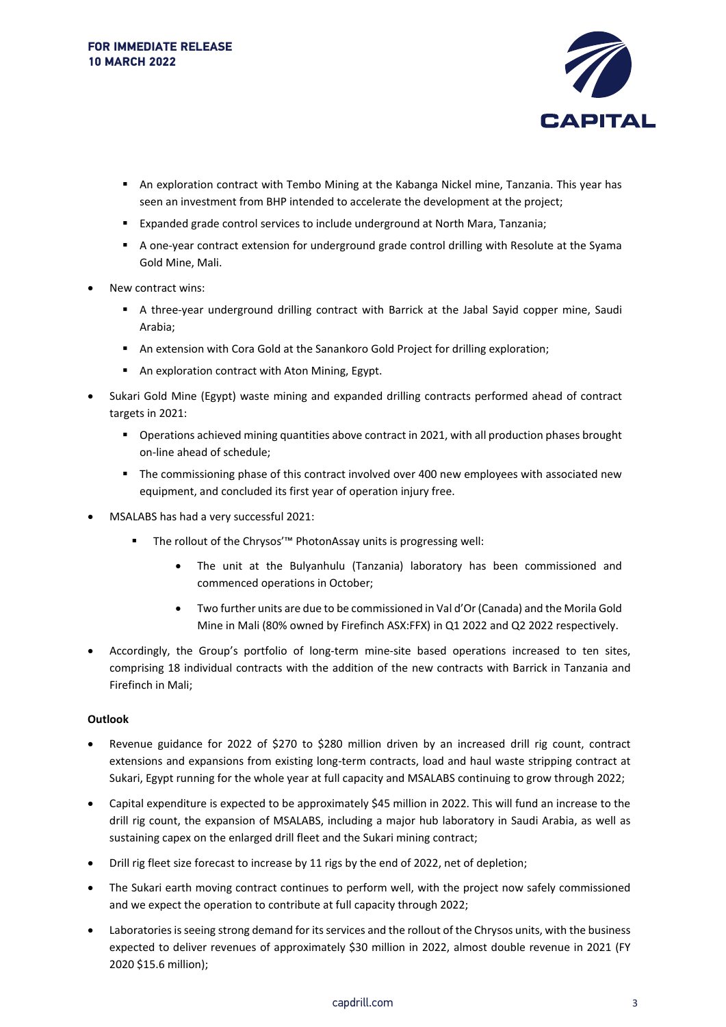

- An exploration contract with Tembo Mining at the Kabanga Nickel mine, Tanzania. This year has seen an investment from BHP intended to accelerate the development at the project;
- Expanded grade control services to include underground at North Mara, Tanzania;
- A one-year contract extension for underground grade control drilling with Resolute at the Syama Gold Mine, Mali.
- New contract wins:
	- A three-year underground drilling contract with Barrick at the Jabal Sayid copper mine, Saudi Arabia;
	- An extension with Cora Gold at the Sanankoro Gold Project for drilling exploration;
	- An exploration contract with Aton Mining, Egypt.
- Sukari Gold Mine (Egypt) waste mining and expanded drilling contracts performed ahead of contract targets in 2021:
	- Operations achieved mining quantities above contract in 2021, with all production phases brought on-line ahead of schedule;
	- The commissioning phase of this contract involved over 400 new employees with associated new equipment, and concluded its first year of operation injury free.
- MSALABS has had a very successful 2021:
	- The rollout of the Chrysos'™ PhotonAssay units is progressing well:
		- The unit at the Bulyanhulu (Tanzania) laboratory has been commissioned and commenced operations in October;
		- Two further units are due to be commissioned in Val d'Or (Canada) and the Morila Gold Mine in Mali (80% owned by Firefinch ASX:FFX) in Q1 2022 and Q2 2022 respectively.
- Accordingly, the Group's portfolio of long-term mine-site based operations increased to ten sites, comprising 18 individual contracts with the addition of the new contracts with Barrick in Tanzania and Firefinch in Mali;

#### **Outlook**

- Revenue guidance for 2022 of \$270 to \$280 million driven by an increased drill rig count, contract extensions and expansions from existing long-term contracts, load and haul waste stripping contract at Sukari, Egypt running for the whole year at full capacity and MSALABS continuing to grow through 2022;
- Capital expenditure is expected to be approximately \$45 million in 2022. This will fund an increase to the drill rig count, the expansion of MSALABS, including a major hub laboratory in Saudi Arabia, as well as sustaining capex on the enlarged drill fleet and the Sukari mining contract;
- Drill rig fleet size forecast to increase by 11 rigs by the end of 2022, net of depletion;
- The Sukari earth moving contract continues to perform well, with the project now safely commissioned and we expect the operation to contribute at full capacity through 2022;
- Laboratories is seeing strong demand for its services and the rollout of the Chrysos units, with the business expected to deliver revenues of approximately \$30 million in 2022, almost double revenue in 2021 (FY 2020 \$15.6 million);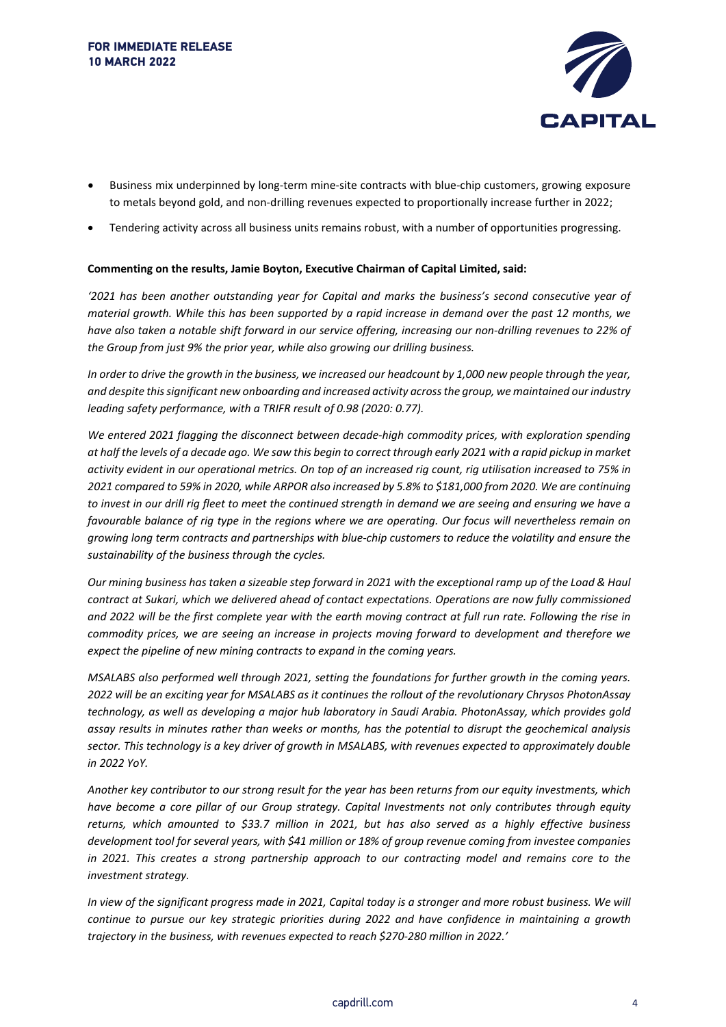

- Business mix underpinned by long-term mine-site contracts with blue-chip customers, growing exposure to metals beyond gold, and non-drilling revenues expected to proportionally increase further in 2022;
- Tendering activity across all business units remains robust, with a number of opportunities progressing.

#### **Commenting on the results, Jamie Boyton, Executive Chairman of Capital Limited, said:**

*'2021 has been another outstanding year for Capital and marks the business's second consecutive year of material growth. While this has been supported by a rapid increase in demand over the past 12 months, we have also taken a notable shift forward in our service offering, increasing our non-drilling revenues to 22% of the Group from just 9% the prior year, while also growing our drilling business.* 

*In order to drive the growth in the business, we increased our headcount by 1,000 new people through the year, and despite this significant new onboarding and increased activity across the group, we maintained our industry leading safety performance, with a TRIFR result of 0.98 (2020: 0.77).* 

*We entered 2021 flagging the disconnect between decade-high commodity prices, with exploration spending at half the levels of a decade ago. We saw this begin to correct through early 2021 with a rapid pickup in market activity evident in our operational metrics. On top of an increased rig count, rig utilisation increased to 75% in 2021 compared to 59% in 2020, while ARPOR also increased by 5.8% to \$181,000 from 2020. We are continuing*  to invest in our drill rig fleet to meet the continued strength in demand we are seeing and ensuring we have a *favourable balance of rig type in the regions where we are operating. Our focus will nevertheless remain on growing long term contracts and partnerships with blue-chip customers to reduce the volatility and ensure the sustainability of the business through the cycles.* 

*Our mining business has taken a sizeable step forward in 2021 with the exceptional ramp up of the Load & Haul contract at Sukari, which we delivered ahead of contact expectations. Operations are now fully commissioned and 2022 will be the first complete year with the earth moving contract at full run rate. Following the rise in commodity prices, we are seeing an increase in projects moving forward to development and therefore we expect the pipeline of new mining contracts to expand in the coming years.* 

*MSALABS also performed well through 2021, setting the foundations for further growth in the coming years. 2022 will be an exciting year for MSALABS as it continues the rollout of the revolutionary Chrysos PhotonAssay technology, as well as developing a major hub laboratory in Saudi Arabia. PhotonAssay, which provides gold assay results in minutes rather than weeks or months, has the potential to disrupt the geochemical analysis sector. This technology is a key driver of growth in MSALABS, with revenues expected to approximately double in 2022 YoY.* 

*Another key contributor to our strong result for the year has been returns from our equity investments, which have become a core pillar of our Group strategy. Capital Investments not only contributes through equity returns, which amounted to \$33.7 million in 2021, but has also served as a highly effective business development tool for several years, with \$41 million or 18% of group revenue coming from investee companies in 2021. This creates a strong partnership approach to our contracting model and remains core to the investment strategy.* 

*In view of the significant progress made in 2021, Capital today is a stronger and more robust business. We will continue to pursue our key strategic priorities during 2022 and have confidence in maintaining a growth trajectory in the business, with revenues expected to reach \$270-280 million in 2022.'*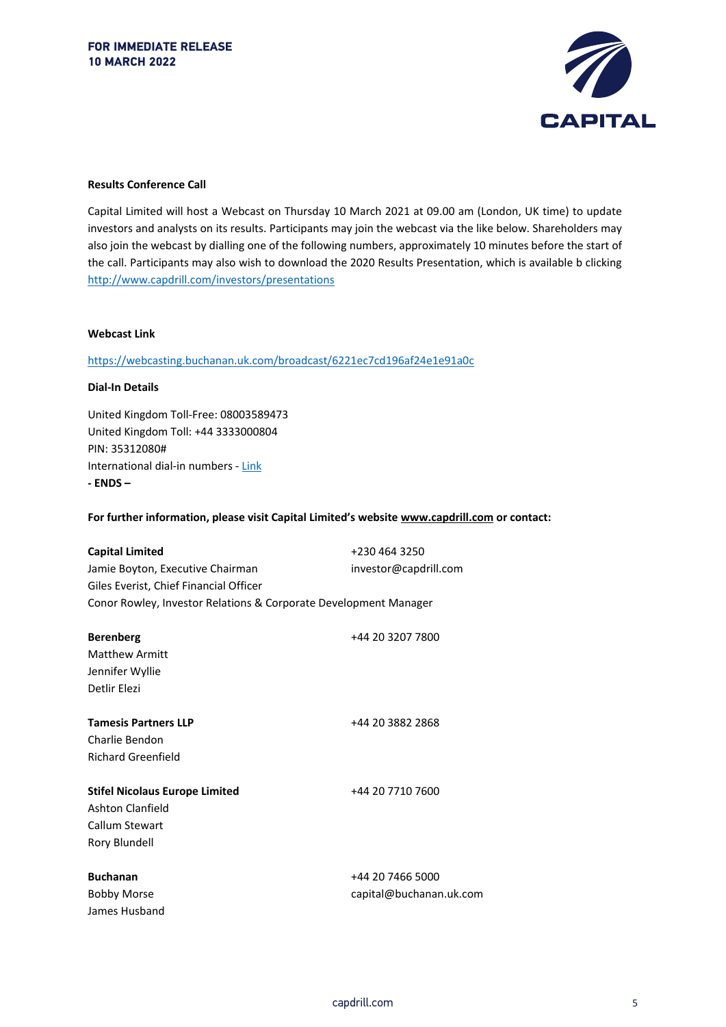

#### **Results Conference Call**

Capital Limited will host a Webcast on Thursday 10 March 2021 at 09.00 am (London, UK time) to update investors and analysts on its results. Participants may join the webcast via the like below. Shareholders may also join the webcast by dialling one of the following numbers, approximately 10 minutes before the start of the call. Participants may also wish to download the 2020 Results Presentation, which is available b clicking <http://www.capdrill.com/investors/presentations>

#### **Webcast Link**

<https://webcasting.buchanan.uk.com/broadcast/6221ec7cd196af24e1e91a0c>

#### **Dial-In Details**

United Kingdom Toll-Free: 08003589473 United Kingdom Toll: +44 3333000804 PIN: 35312080# International dial-in numbers - [Link](https://urldefense.proofpoint.com/v2/url?u=https-3A__events-2Dftp.arkadin.com_ev_docs_NE-5FW2-5FTF-5FEvents-5FInternational-5FAccess-5FList.pdf&d=DwMGaQ&c=24Pv9SDmf15C3K1GQEblf0-dR4hG0m_5jejOBrkAV6M&r=QYkWmyFK8Y3e5jgEzqfg7BS4FTqS479bXiF2HYjlTIk&m=ieAtP9kTeBzfQmfbL2SLaqwFb5awB94m5UCaATVhTIJj0orOFv4i-8OBxpmh01Er&s=t71yT1mI7NRQzK3hfBkNUcZIYz52cleNDfaxzcuc5uc&e=) **- ENDS –**

**For further information, please visit Capital Limited's website www.capdrill.com or contact:**

| <b>Capital Limited</b>                                           | +230 464 3250           |
|------------------------------------------------------------------|-------------------------|
| Jamie Boyton, Executive Chairman                                 | investor@capdrill.com   |
| Giles Everist, Chief Financial Officer                           |                         |
| Conor Rowley, Investor Relations & Corporate Development Manager |                         |
|                                                                  |                         |
| <b>Berenberg</b>                                                 | +44 20 3207 7800        |
| <b>Matthew Armitt</b>                                            |                         |
| Jennifer Wyllie                                                  |                         |
| Detlir Elezi                                                     |                         |
|                                                                  |                         |
| <b>Tamesis Partners LLP</b>                                      | +44 20 3882 2868        |
| Charlie Bendon                                                   |                         |
| <b>Richard Greenfield</b>                                        |                         |
|                                                                  |                         |
| <b>Stifel Nicolaus Europe Limited</b>                            | +44 20 7710 7600        |
| Ashton Clanfield                                                 |                         |
| Callum Stewart                                                   |                         |
| Rory Blundell                                                    |                         |
|                                                                  |                         |
| <b>Buchanan</b>                                                  | +44 20 7466 5000        |
| <b>Bobby Morse</b>                                               | capital@buchanan.uk.com |
| James Husband                                                    |                         |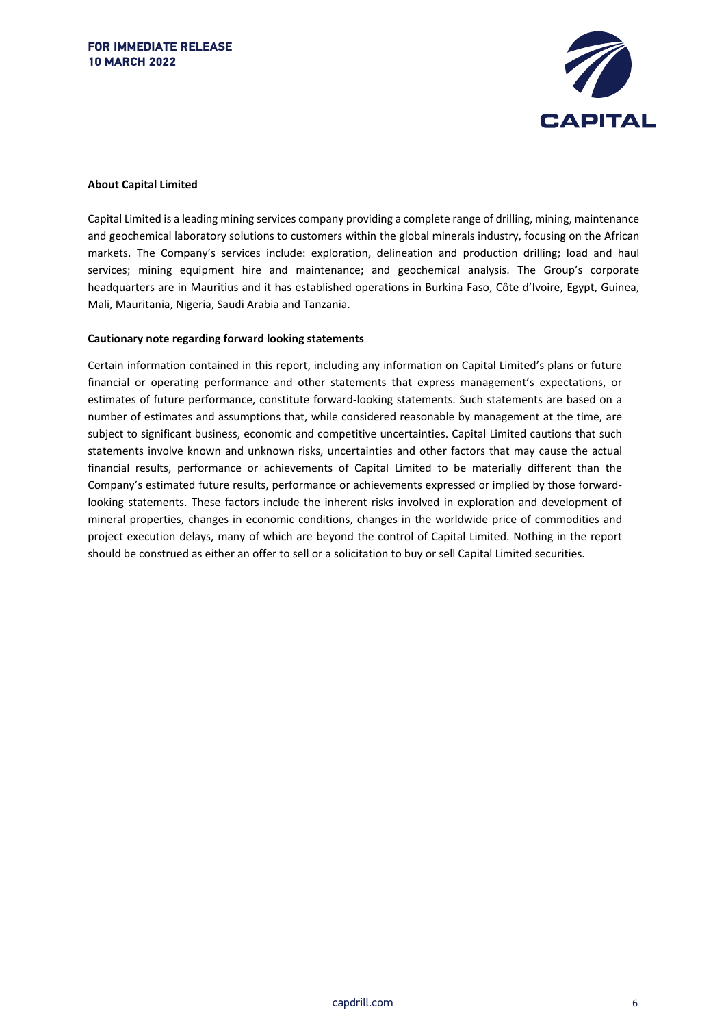

#### **About Capital Limited**

Capital Limited is a leading mining services company providing a complete range of drilling, mining, maintenance and geochemical laboratory solutions to customers within the global minerals industry, focusing on the African markets. The Company's services include: exploration, delineation and production drilling; load and haul services; mining equipment hire and maintenance; and geochemical analysis. The Group's corporate headquarters are in Mauritius and it has established operations in Burkina Faso, Côte d'Ivoire, Egypt, Guinea, Mali, Mauritania, Nigeria, Saudi Arabia and Tanzania.

#### **Cautionary note regarding forward looking statements**

Certain information contained in this report, including any information on Capital Limited's plans or future financial or operating performance and other statements that express management's expectations, or estimates of future performance, constitute forward-looking statements. Such statements are based on a number of estimates and assumptions that, while considered reasonable by management at the time, are subject to significant business, economic and competitive uncertainties. Capital Limited cautions that such statements involve known and unknown risks, uncertainties and other factors that may cause the actual financial results, performance or achievements of Capital Limited to be materially different than the Company's estimated future results, performance or achievements expressed or implied by those forwardlooking statements. These factors include the inherent risks involved in exploration and development of mineral properties, changes in economic conditions, changes in the worldwide price of commodities and project execution delays, many of which are beyond the control of Capital Limited. Nothing in the report should be construed as either an offer to sell or a solicitation to buy or sell Capital Limited securities.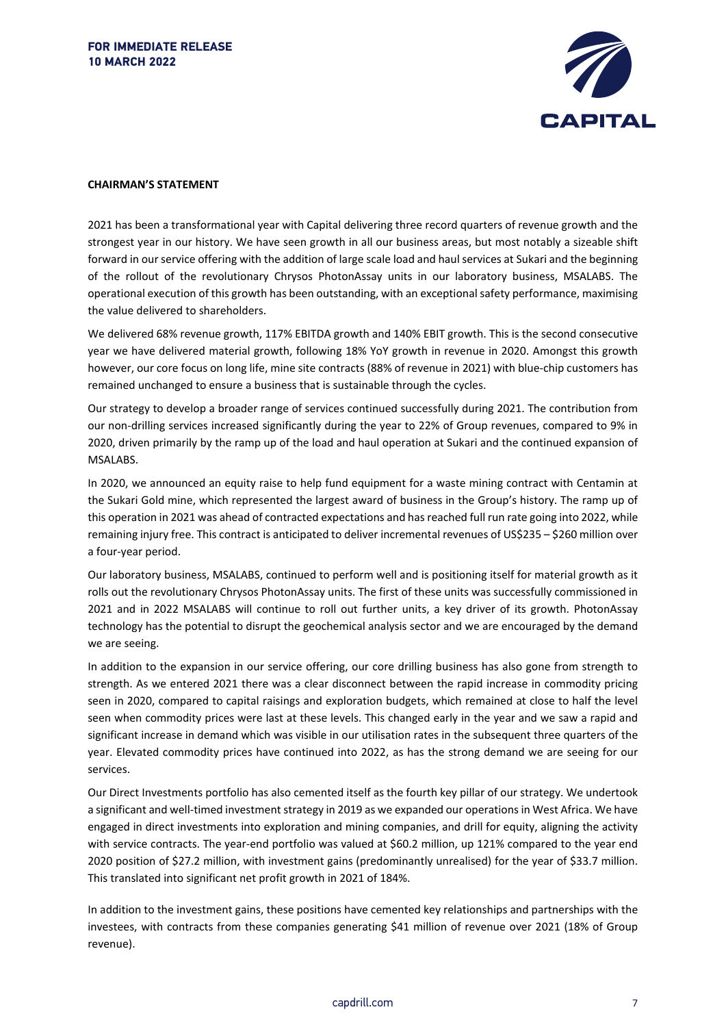

#### **CHAIRMAN'S STATEMENT**

2021 has been a transformational year with Capital delivering three record quarters of revenue growth and the strongest year in our history. We have seen growth in all our business areas, but most notably a sizeable shift forward in our service offering with the addition of large scale load and haul services at Sukari and the beginning of the rollout of the revolutionary Chrysos PhotonAssay units in our laboratory business, MSALABS. The operational execution of this growth has been outstanding, with an exceptional safety performance, maximising the value delivered to shareholders.

We delivered 68% revenue growth, 117% EBITDA growth and 140% EBIT growth. This is the second consecutive year we have delivered material growth, following 18% YoY growth in revenue in 2020. Amongst this growth however, our core focus on long life, mine site contracts (88% of revenue in 2021) with blue-chip customers has remained unchanged to ensure a business that is sustainable through the cycles.

Our strategy to develop a broader range of services continued successfully during 2021. The contribution from our non-drilling services increased significantly during the year to 22% of Group revenues, compared to 9% in 2020, driven primarily by the ramp up of the load and haul operation at Sukari and the continued expansion of MSALABS.

In 2020, we announced an equity raise to help fund equipment for a waste mining contract with Centamin at the Sukari Gold mine, which represented the largest award of business in the Group's history. The ramp up of this operation in 2021 was ahead of contracted expectations and has reached full run rate going into 2022, while remaining injury free. This contract is anticipated to deliver incremental revenues of US\$235 – \$260 million over a four-year period.

Our laboratory business, MSALABS, continued to perform well and is positioning itself for material growth as it rolls out the revolutionary Chrysos PhotonAssay units. The first of these units was successfully commissioned in 2021 and in 2022 MSALABS will continue to roll out further units, a key driver of its growth. PhotonAssay technology has the potential to disrupt the geochemical analysis sector and we are encouraged by the demand we are seeing.

In addition to the expansion in our service offering, our core drilling business has also gone from strength to strength. As we entered 2021 there was a clear disconnect between the rapid increase in commodity pricing seen in 2020, compared to capital raisings and exploration budgets, which remained at close to half the level seen when commodity prices were last at these levels. This changed early in the year and we saw a rapid and significant increase in demand which was visible in our utilisation rates in the subsequent three quarters of the year. Elevated commodity prices have continued into 2022, as has the strong demand we are seeing for our services.

Our Direct Investments portfolio has also cemented itself as the fourth key pillar of our strategy. We undertook a significant and well-timed investment strategy in 2019 as we expanded our operations in West Africa. We have engaged in direct investments into exploration and mining companies, and drill for equity, aligning the activity with service contracts. The year-end portfolio was valued at \$60.2 million, up 121% compared to the year end 2020 position of \$27.2 million, with investment gains (predominantly unrealised) for the year of \$33.7 million. This translated into significant net profit growth in 2021 of 184%.

In addition to the investment gains, these positions have cemented key relationships and partnerships with the investees, with contracts from these companies generating \$41 million of revenue over 2021 (18% of Group revenue).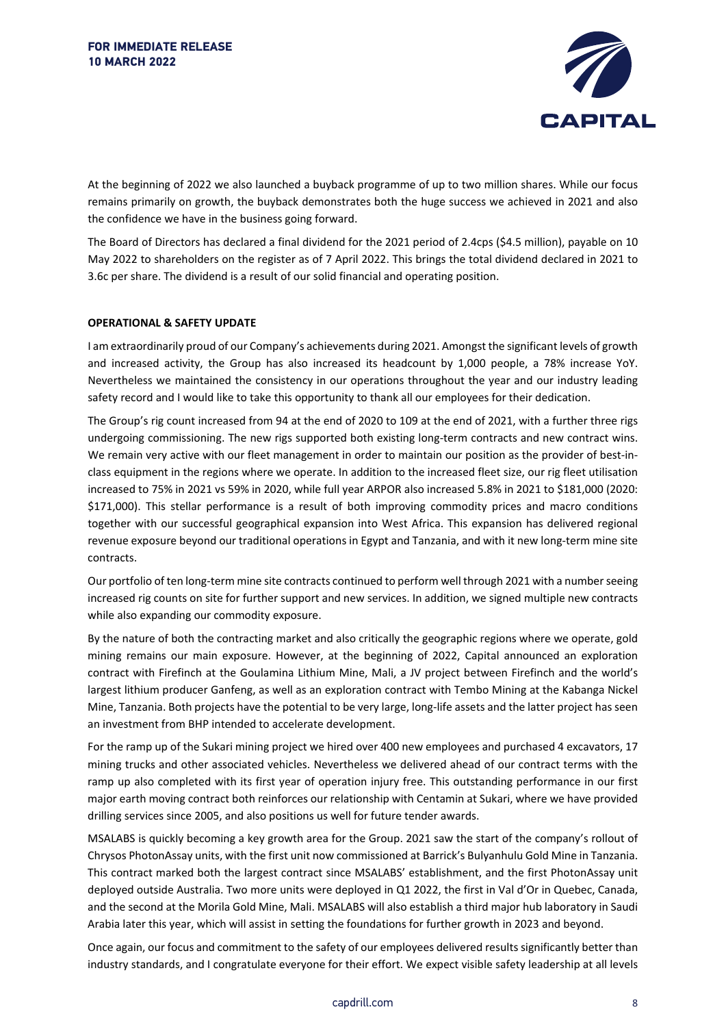

At the beginning of 2022 we also launched a buyback programme of up to two million shares. While our focus remains primarily on growth, the buyback demonstrates both the huge success we achieved in 2021 and also the confidence we have in the business going forward.

The Board of Directors has declared a final dividend for the 2021 period of 2.4cps (\$4.5 million), payable on 10 May 2022 to shareholders on the register as of 7 April 2022. This brings the total dividend declared in 2021 to 3.6c per share. The dividend is a result of our solid financial and operating position.

#### **OPERATIONAL & SAFETY UPDATE**

I am extraordinarily proud of our Company's achievements during 2021. Amongst the significant levels of growth and increased activity, the Group has also increased its headcount by 1,000 people, a 78% increase YoY. Nevertheless we maintained the consistency in our operations throughout the year and our industry leading safety record and I would like to take this opportunity to thank all our employees for their dedication.

The Group's rig count increased from 94 at the end of 2020 to 109 at the end of 2021, with a further three rigs undergoing commissioning. The new rigs supported both existing long-term contracts and new contract wins. We remain very active with our fleet management in order to maintain our position as the provider of best-inclass equipment in the regions where we operate. In addition to the increased fleet size, our rig fleet utilisation increased to 75% in 2021 vs 59% in 2020, while full year ARPOR also increased 5.8% in 2021 to \$181,000 (2020: \$171,000). This stellar performance is a result of both improving commodity prices and macro conditions together with our successful geographical expansion into West Africa. This expansion has delivered regional revenue exposure beyond our traditional operations in Egypt and Tanzania, and with it new long-term mine site contracts.

Our portfolio of ten long-term mine site contracts continued to perform well through 2021 with a number seeing increased rig counts on site for further support and new services. In addition, we signed multiple new contracts while also expanding our commodity exposure.

By the nature of both the contracting market and also critically the geographic regions where we operate, gold mining remains our main exposure. However, at the beginning of 2022, Capital announced an exploration contract with Firefinch at the Goulamina Lithium Mine, Mali, a JV project between Firefinch and the world's largest lithium producer Ganfeng, as well as an exploration contract with Tembo Mining at the Kabanga Nickel Mine, Tanzania. Both projects have the potential to be very large, long-life assets and the latter project has seen an investment from BHP intended to accelerate development.

For the ramp up of the Sukari mining project we hired over 400 new employees and purchased 4 excavators, 17 mining trucks and other associated vehicles. Nevertheless we delivered ahead of our contract terms with the ramp up also completed with its first year of operation injury free. This outstanding performance in our first major earth moving contract both reinforces our relationship with Centamin at Sukari, where we have provided drilling services since 2005, and also positions us well for future tender awards.

MSALABS is quickly becoming a key growth area for the Group. 2021 saw the start of the company's rollout of Chrysos PhotonAssay units, with the first unit now commissioned at Barrick's Bulyanhulu Gold Mine in Tanzania. This contract marked both the largest contract since MSALABS' establishment, and the first PhotonAssay unit deployed outside Australia. Two more units were deployed in Q1 2022, the first in Val d'Or in Quebec, Canada, and the second at the Morila Gold Mine, Mali. MSALABS will also establish a third major hub laboratory in Saudi Arabia later this year, which will assist in setting the foundations for further growth in 2023 and beyond.

Once again, our focus and commitment to the safety of our employees delivered results significantly better than industry standards, and I congratulate everyone for their effort. We expect visible safety leadership at all levels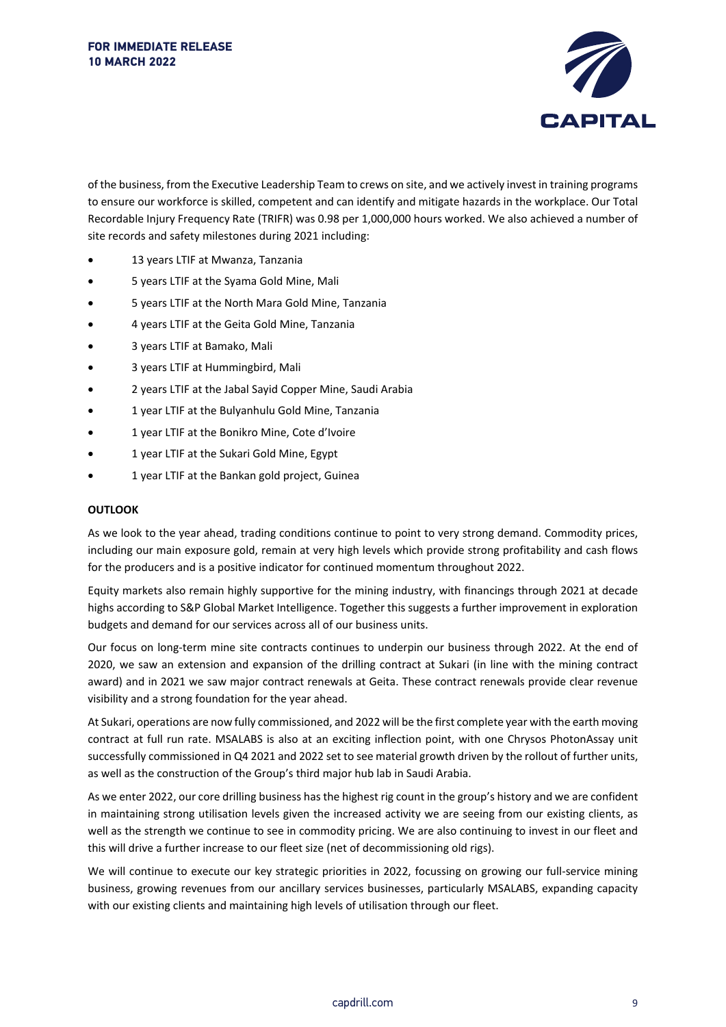

of the business, from the Executive Leadership Team to crews on site, and we actively invest in training programs to ensure our workforce is skilled, competent and can identify and mitigate hazards in the workplace. Our Total Recordable Injury Frequency Rate (TRIFR) was 0.98 per 1,000,000 hours worked. We also achieved a number of site records and safety milestones during 2021 including:

- 13 years LTIF at Mwanza, Tanzania
- 5 years LTIF at the Syama Gold Mine, Mali
- 5 years LTIF at the North Mara Gold Mine, Tanzania
- 4 years LTIF at the Geita Gold Mine, Tanzania
- 3 years LTIF at Bamako, Mali
- 3 years LTIF at Hummingbird, Mali
- 2 years LTIF at the Jabal Sayid Copper Mine, Saudi Arabia
- 1 year LTIF at the Bulyanhulu Gold Mine, Tanzania
- 1 year LTIF at the Bonikro Mine, Cote d'Ivoire
- 1 year LTIF at the Sukari Gold Mine, Egypt
- 1 year LTIF at the Bankan gold project, Guinea

#### **OUTLOOK**

As we look to the year ahead, trading conditions continue to point to very strong demand. Commodity prices, including our main exposure gold, remain at very high levels which provide strong profitability and cash flows for the producers and is a positive indicator for continued momentum throughout 2022.

Equity markets also remain highly supportive for the mining industry, with financings through 2021 at decade highs according to S&P Global Market Intelligence. Together this suggests a further improvement in exploration budgets and demand for our services across all of our business units.

Our focus on long-term mine site contracts continues to underpin our business through 2022. At the end of 2020, we saw an extension and expansion of the drilling contract at Sukari (in line with the mining contract award) and in 2021 we saw major contract renewals at Geita. These contract renewals provide clear revenue visibility and a strong foundation for the year ahead.

At Sukari, operations are now fully commissioned, and 2022 will be the first complete year with the earth moving contract at full run rate. MSALABS is also at an exciting inflection point, with one Chrysos PhotonAssay unit successfully commissioned in Q4 2021 and 2022 set to see material growth driven by the rollout of further units, as well as the construction of the Group's third major hub lab in Saudi Arabia.

As we enter 2022, our core drilling business has the highest rig count in the group's history and we are confident in maintaining strong utilisation levels given the increased activity we are seeing from our existing clients, as well as the strength we continue to see in commodity pricing. We are also continuing to invest in our fleet and this will drive a further increase to our fleet size (net of decommissioning old rigs).

We will continue to execute our key strategic priorities in 2022, focussing on growing our full-service mining business, growing revenues from our ancillary services businesses, particularly MSALABS, expanding capacity with our existing clients and maintaining high levels of utilisation through our fleet.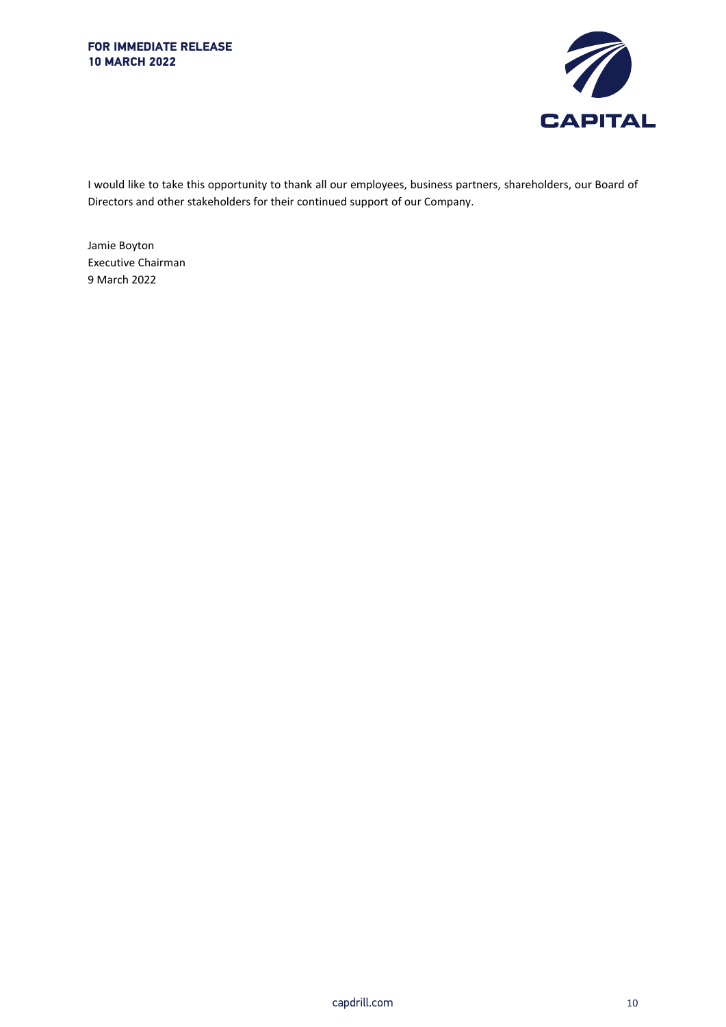

I would like to take this opportunity to thank all our employees, business partners, shareholders, our Board of Directors and other stakeholders for their continued support of our Company.

Jamie Boyton Executive Chairman 9 March 2022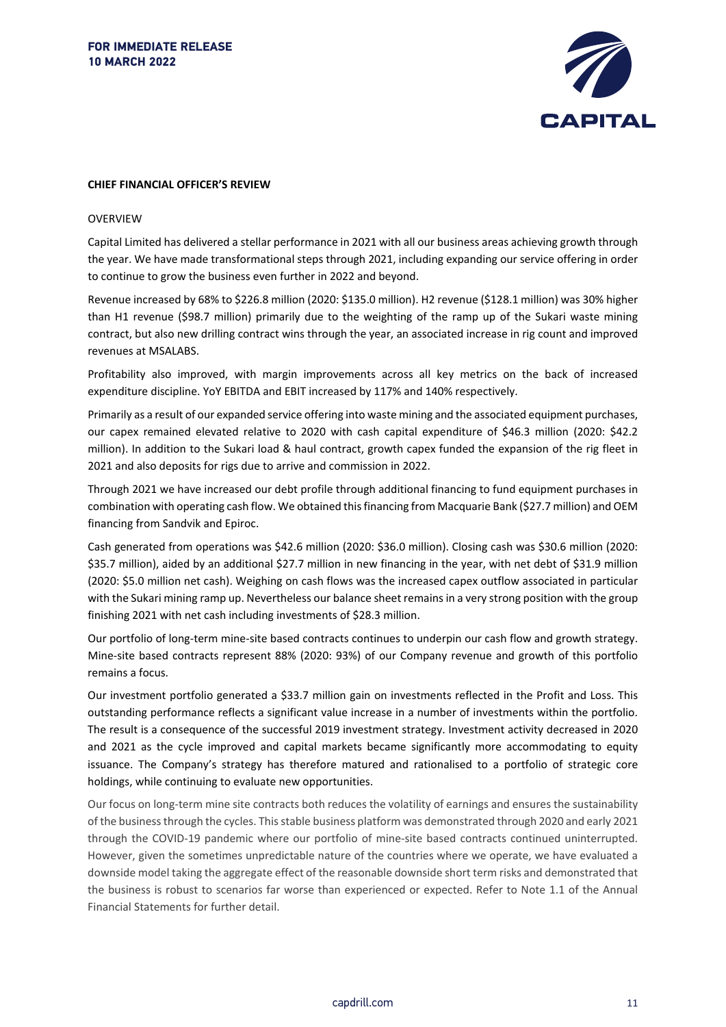

#### **CHIEF FINANCIAL OFFICER'S REVIEW**

#### OVERVIEW

Capital Limited has delivered a stellar performance in 2021 with all our business areas achieving growth through the year. We have made transformational steps through 2021, including expanding our service offering in order to continue to grow the business even further in 2022 and beyond.

Revenue increased by 68% to \$226.8 million (2020: \$135.0 million). H2 revenue (\$128.1 million) was 30% higher than H1 revenue (\$98.7 million) primarily due to the weighting of the ramp up of the Sukari waste mining contract, but also new drilling contract wins through the year, an associated increase in rig count and improved revenues at MSALABS.

Profitability also improved, with margin improvements across all key metrics on the back of increased expenditure discipline. YoY EBITDA and EBIT increased by 117% and 140% respectively.

Primarily as a result of our expanded service offering into waste mining and the associated equipment purchases, our capex remained elevated relative to 2020 with cash capital expenditure of \$46.3 million (2020: \$42.2 million). In addition to the Sukari load & haul contract, growth capex funded the expansion of the rig fleet in 2021 and also deposits for rigs due to arrive and commission in 2022.

Through 2021 we have increased our debt profile through additional financing to fund equipment purchases in combination with operating cash flow. We obtained this financing from Macquarie Bank (\$27.7 million) and OEM financing from Sandvik and Epiroc.

Cash generated from operations was \$42.6 million (2020: \$36.0 million). Closing cash was \$30.6 million (2020: \$35.7 million), aided by an additional \$27.7 million in new financing in the year, with net debt of \$31.9 million (2020: \$5.0 million net cash). Weighing on cash flows was the increased capex outflow associated in particular with the Sukari mining ramp up. Nevertheless our balance sheet remains in a very strong position with the group finishing 2021 with net cash including investments of \$28.3 million.

Our portfolio of long-term mine-site based contracts continues to underpin our cash flow and growth strategy. Mine-site based contracts represent 88% (2020: 93%) of our Company revenue and growth of this portfolio remains a focus.

Our investment portfolio generated a \$33.7 million gain on investments reflected in the Profit and Loss. This outstanding performance reflects a significant value increase in a number of investments within the portfolio. The result is a consequence of the successful 2019 investment strategy. Investment activity decreased in 2020 and 2021 as the cycle improved and capital markets became significantly more accommodating to equity issuance. The Company's strategy has therefore matured and rationalised to a portfolio of strategic core holdings, while continuing to evaluate new opportunities.

Our focus on long-term mine site contracts both reduces the volatility of earnings and ensures the sustainability of the business through the cycles. This stable business platform was demonstrated through 2020 and early 2021 through the COVID-19 pandemic where our portfolio of mine-site based contracts continued uninterrupted. However, given the sometimes unpredictable nature of the countries where we operate, we have evaluated a downside model taking the aggregate effect of the reasonable downside short term risks and demonstrated that the business is robust to scenarios far worse than experienced or expected. Refer to Note 1.1 of the Annual Financial Statements for further detail.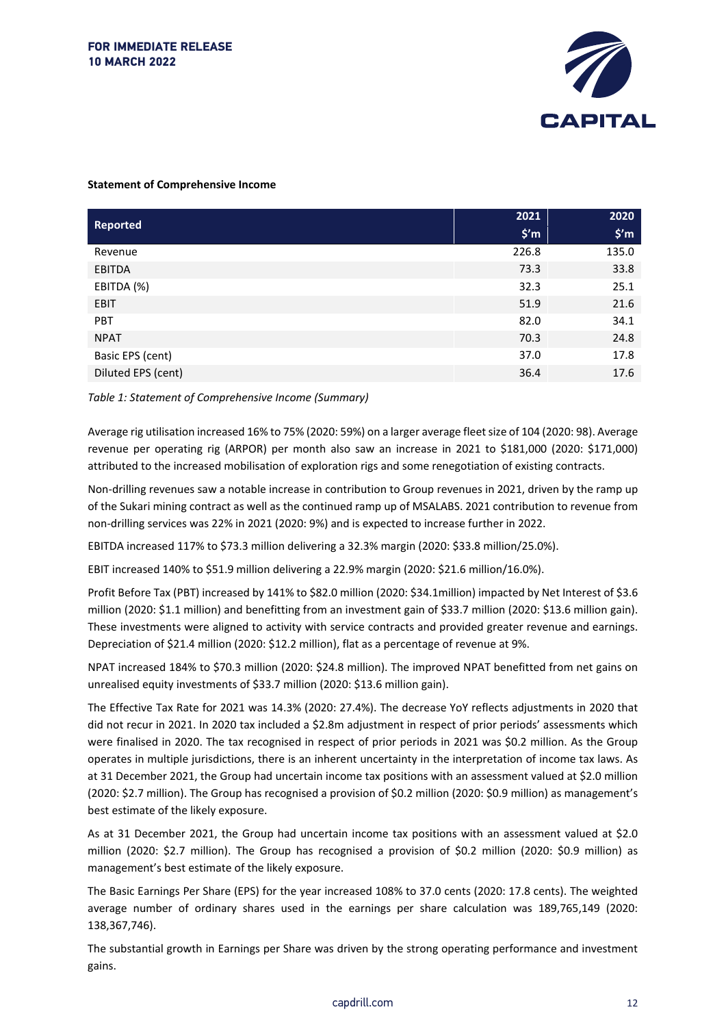

#### **Statement of Comprehensive Income**

|                    | 2021           | 2020           |
|--------------------|----------------|----------------|
| <b>Reported</b>    | $$^{\prime}$ m | $$^{\prime}$ m |
| Revenue            | 226.8          | 135.0          |
| EBITDA             | 73.3           | 33.8           |
| EBITDA (%)         | 32.3           | 25.1           |
| <b>EBIT</b>        | 51.9           | 21.6           |
| <b>PBT</b>         | 82.0           | 34.1           |
| <b>NPAT</b>        | 70.3           | 24.8           |
| Basic EPS (cent)   | 37.0           | 17.8           |
| Diluted EPS (cent) | 36.4           | 17.6           |

#### *Table 1: Statement of Comprehensive Income (Summary)*

Average rig utilisation increased 16% to 75% (2020: 59%) on a larger average fleet size of 104 (2020: 98). Average revenue per operating rig (ARPOR) per month also saw an increase in 2021 to \$181,000 (2020: \$171,000) attributed to the increased mobilisation of exploration rigs and some renegotiation of existing contracts.

Non-drilling revenues saw a notable increase in contribution to Group revenues in 2021, driven by the ramp up of the Sukari mining contract as well as the continued ramp up of MSALABS. 2021 contribution to revenue from non-drilling services was 22% in 2021 (2020: 9%) and is expected to increase further in 2022.

EBITDA increased 117% to \$73.3 million delivering a 32.3% margin (2020: \$33.8 million/25.0%).

EBIT increased 140% to \$51.9 million delivering a 22.9% margin (2020: \$21.6 million/16.0%).

Profit Before Tax (PBT) increased by 141% to \$82.0 million (2020: \$34.1million) impacted by Net Interest of \$3.6 million (2020: \$1.1 million) and benefitting from an investment gain of \$33.7 million (2020: \$13.6 million gain). These investments were aligned to activity with service contracts and provided greater revenue and earnings. Depreciation of \$21.4 million (2020: \$12.2 million), flat as a percentage of revenue at 9%.

NPAT increased 184% to \$70.3 million (2020: \$24.8 million). The improved NPAT benefitted from net gains on unrealised equity investments of \$33.7 million (2020: \$13.6 million gain).

The Effective Tax Rate for 2021 was 14.3% (2020: 27.4%). The decrease YoY reflects adjustments in 2020 that did not recur in 2021. In 2020 tax included a \$2.8m adjustment in respect of prior periods' assessments which were finalised in 2020. The tax recognised in respect of prior periods in 2021 was \$0.2 million. As the Group operates in multiple jurisdictions, there is an inherent uncertainty in the interpretation of income tax laws. As at 31 December 2021, the Group had uncertain income tax positions with an assessment valued at \$2.0 million (2020: \$2.7 million). The Group has recognised a provision of \$0.2 million (2020: \$0.9 million) as management's best estimate of the likely exposure.

As at 31 December 2021, the Group had uncertain income tax positions with an assessment valued at \$2.0 million (2020: \$2.7 million). The Group has recognised a provision of \$0.2 million (2020: \$0.9 million) as management's best estimate of the likely exposure.

The Basic Earnings Per Share (EPS) for the year increased 108% to 37.0 cents (2020: 17.8 cents). The weighted average number of ordinary shares used in the earnings per share calculation was 189,765,149 (2020: 138,367,746).

The substantial growth in Earnings per Share was driven by the strong operating performance and investment gains.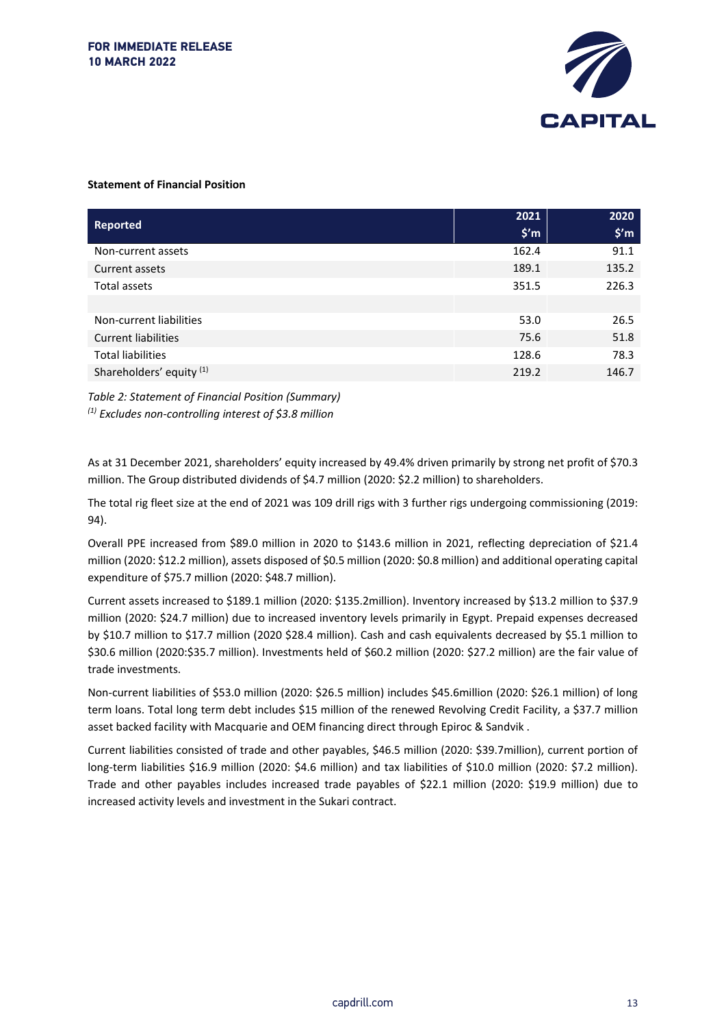

#### **Statement of Financial Position**

| Reported                   | 2021<br>$$^{\prime}$ m | 2020<br>$$^{\prime}$ m |
|----------------------------|------------------------|------------------------|
| Non-current assets         | 162.4                  | 91.1                   |
| Current assets             | 189.1                  | 135.2                  |
| Total assets               | 351.5                  | 226.3                  |
|                            |                        |                        |
| Non-current liabilities    | 53.0                   | 26.5                   |
| <b>Current liabilities</b> | 75.6                   | 51.8                   |
| <b>Total liabilities</b>   | 128.6                  | 78.3                   |
| Shareholders' equity (1)   | 219.2                  | 146.7                  |

*Table 2: Statement of Financial Position (Summary) (1) Excludes non-controlling interest of \$3.8 million*

As at 31 December 2021, shareholders' equity increased by 49.4% driven primarily by strong net profit of \$70.3 million. The Group distributed dividends of \$4.7 million (2020: \$2.2 million) to shareholders.

The total rig fleet size at the end of 2021 was 109 drill rigs with 3 further rigs undergoing commissioning (2019: 94).

Overall PPE increased from \$89.0 million in 2020 to \$143.6 million in 2021, reflecting depreciation of \$21.4 million (2020: \$12.2 million), assets disposed of \$0.5 million (2020: \$0.8 million) and additional operating capital expenditure of \$75.7 million (2020: \$48.7 million).

Current assets increased to \$189.1 million (2020: \$135.2million). Inventory increased by \$13.2 million to \$37.9 million (2020: \$24.7 million) due to increased inventory levels primarily in Egypt. Prepaid expenses decreased by \$10.7 million to \$17.7 million (2020 \$28.4 million). Cash and cash equivalents decreased by \$5.1 million to \$30.6 million (2020:\$35.7 million). Investments held of \$60.2 million (2020: \$27.2 million) are the fair value of trade investments.

Non-current liabilities of \$53.0 million (2020: \$26.5 million) includes \$45.6million (2020: \$26.1 million) of long term loans. Total long term debt includes \$15 million of the renewed Revolving Credit Facility, a \$37.7 million asset backed facility with Macquarie and OEM financing direct through Epiroc & Sandvik .

Current liabilities consisted of trade and other payables, \$46.5 million (2020: \$39.7million), current portion of long-term liabilities \$16.9 million (2020: \$4.6 million) and tax liabilities of \$10.0 million (2020: \$7.2 million). Trade and other payables includes increased trade payables of \$22.1 million (2020: \$19.9 million) due to increased activity levels and investment in the Sukari contract.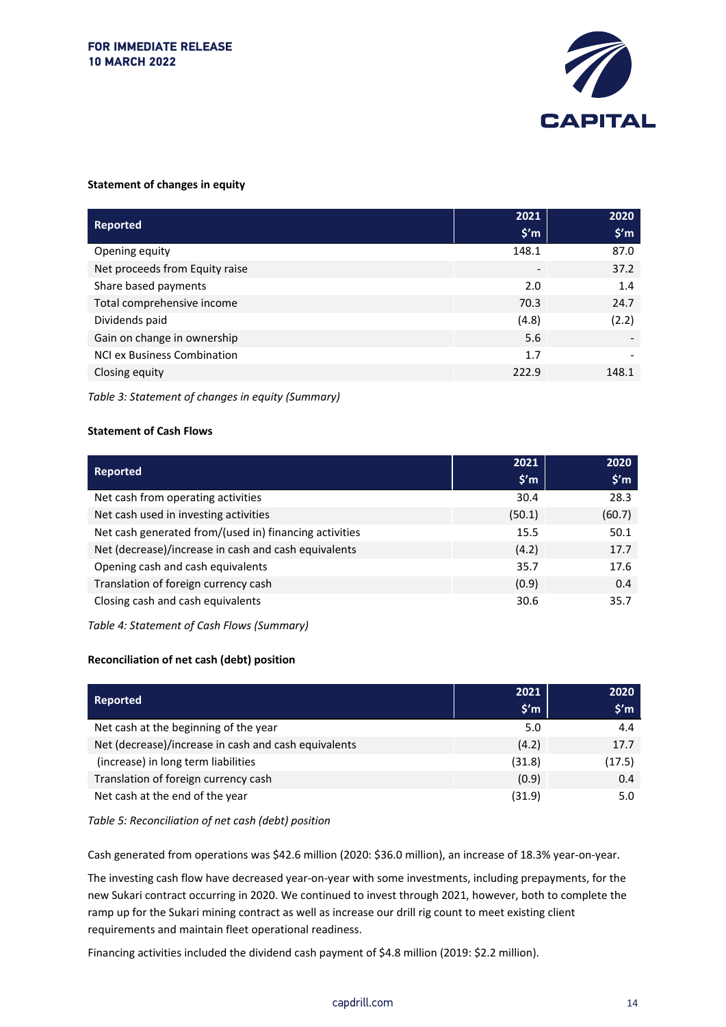

#### **Statement of changes in equity**

|                                    | 2021           | 2020           |
|------------------------------------|----------------|----------------|
| <b>Reported</b>                    | $$^{\prime}$ m | $$^{\prime}$ m |
|                                    |                |                |
| Opening equity                     | 148.1          | 87.0           |
| Net proceeds from Equity raise     |                | 37.2           |
| Share based payments               | 2.0            | 1.4            |
| Total comprehensive income         | 70.3           | 24.7           |
| Dividends paid                     | (4.8)          | (2.2)          |
| Gain on change in ownership        | 5.6            |                |
| <b>NCI ex Business Combination</b> | 1.7            |                |
| Closing equity                     | 222.9          | 148.1          |

*Table 3: Statement of changes in equity (Summary)*

#### **Statement of Cash Flows**

| <b>Reported</b>                                        | 2021<br>$$^{\prime}$ m | 2020<br>$$^{\prime}$ m |
|--------------------------------------------------------|------------------------|------------------------|
| Net cash from operating activities                     | 30.4                   | 28.3                   |
| Net cash used in investing activities                  | (50.1)                 | (60.7)                 |
| Net cash generated from/(used in) financing activities | 15.5                   | 50.1                   |
| Net (decrease)/increase in cash and cash equivalents   | (4.2)                  | 17.7                   |
| Opening cash and cash equivalents                      | 35.7                   | 17.6                   |
| Translation of foreign currency cash                   | (0.9)                  | 0.4                    |
| Closing cash and cash equivalents                      | 30.6                   | 35.7                   |

*Table 4: Statement of Cash Flows (Summary)*

#### **Reconciliation of net cash (debt) position**

| <b>Reported</b>                                      | 2021           | 2020           |
|------------------------------------------------------|----------------|----------------|
|                                                      | $$^{\prime}$ m | $$^{\prime}$ m |
| Net cash at the beginning of the year                | 5.0            | 4.4            |
| Net (decrease)/increase in cash and cash equivalents | (4.2)          | 17.7           |
| (increase) in long term liabilities                  | (31.8)         | (17.5)         |
| Translation of foreign currency cash                 | (0.9)          | 0.4            |
| Net cash at the end of the year                      | (31.9)         | 5.0            |

*Table 5: Reconciliation of net cash (debt) position*

Cash generated from operations was \$42.6 million (2020: \$36.0 million), an increase of 18.3% year-on-year.

The investing cash flow have decreased year-on-year with some investments, including prepayments, for the new Sukari contract occurring in 2020. We continued to invest through 2021, however, both to complete the ramp up for the Sukari mining contract as well as increase our drill rig count to meet existing client requirements and maintain fleet operational readiness.

Financing activities included the dividend cash payment of \$4.8 million (2019: \$2.2 million).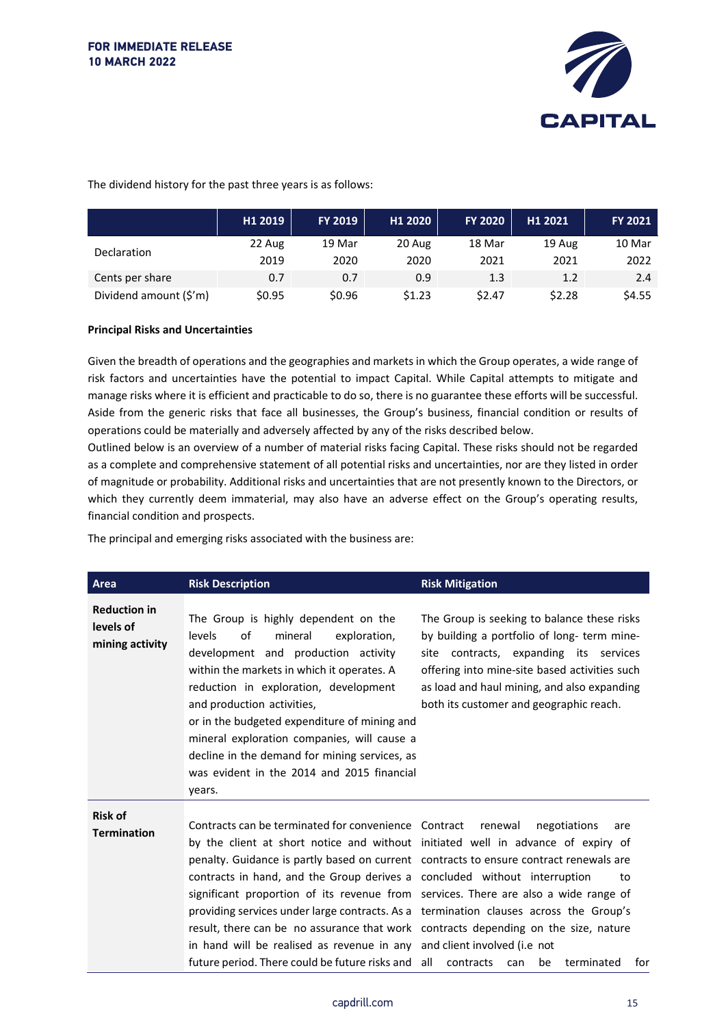

The dividend history for the past three years is as follows:

|                        | H1 2019 | FY 2019 | H1 2020 | <b>FY 2020</b> | H1 2021 | <b>FY 2021</b> |
|------------------------|---------|---------|---------|----------------|---------|----------------|
| <b>Declaration</b>     | 22 Aug  | 19 Mar  | 20 Aug  | 18 Mar         | 19 Aug  | 10 Mar         |
|                        | 2019    | 2020    | 2020    | 2021           | 2021    | 2022           |
| Cents per share        | 0.7     | 0.7     | 0.9     | 1.3            | 1.2     | 2.4            |
| Dividend amount (\$'m) | \$0.95  | \$0.96  | \$1.23  | \$2.47         | \$2.28  | \$4.55         |

#### **Principal Risks and Uncertainties**

Given the breadth of operations and the geographies and markets in which the Group operates, a wide range of risk factors and uncertainties have the potential to impact Capital. While Capital attempts to mitigate and manage risks where it is efficient and practicable to do so, there is no guarantee these efforts will be successful. Aside from the generic risks that face all businesses, the Group's business, financial condition or results of operations could be materially and adversely affected by any of the risks described below.

Outlined below is an overview of a number of material risks facing Capital. These risks should not be regarded as a complete and comprehensive statement of all potential risks and uncertainties, nor are they listed in order of magnitude or probability. Additional risks and uncertainties that are not presently known to the Directors, or which they currently deem immaterial, may also have an adverse effect on the Group's operating results, financial condition and prospects.

The principal and emerging risks associated with the business are:

| Area                                                | <b>Risk Description</b>                                                                                                                                                                                                                                                                                                                                                                                                                                                                                                                                                                                                                                                                                                 | <b>Risk Mitigation</b>                                                                                                                                                                                                                                                          |
|-----------------------------------------------------|-------------------------------------------------------------------------------------------------------------------------------------------------------------------------------------------------------------------------------------------------------------------------------------------------------------------------------------------------------------------------------------------------------------------------------------------------------------------------------------------------------------------------------------------------------------------------------------------------------------------------------------------------------------------------------------------------------------------------|---------------------------------------------------------------------------------------------------------------------------------------------------------------------------------------------------------------------------------------------------------------------------------|
| <b>Reduction in</b><br>levels of<br>mining activity | The Group is highly dependent on the<br>levels<br>οf<br>mineral<br>exploration,<br>development and production activity<br>within the markets in which it operates. A<br>reduction in exploration, development<br>and production activities.<br>or in the budgeted expenditure of mining and<br>mineral exploration companies, will cause a<br>decline in the demand for mining services, as<br>was evident in the 2014 and 2015 financial<br>years.                                                                                                                                                                                                                                                                     | The Group is seeking to balance these risks<br>by building a portfolio of long- term mine-<br>site contracts, expanding its services<br>offering into mine-site based activities such<br>as load and haul mining, and also expanding<br>both its customer and geographic reach. |
| <b>Risk of</b><br><b>Termination</b>                | Contracts can be terminated for convenience Contract<br>by the client at short notice and without initiated well in advance of expiry of<br>penalty. Guidance is partly based on current contracts to ensure contract renewals are<br>contracts in hand, and the Group derives a concluded without interruption<br>significant proportion of its revenue from services. There are also a wide range of<br>providing services under large contracts. As a termination clauses across the Group's<br>result, there can be no assurance that work contracts depending on the size, nature<br>in hand will be realised as revenue in any and client involved (i.e not<br>future period. There could be future risks and all | renewal<br>negotiations<br>are<br>to<br>contracts<br>be<br>terminated<br>for<br>can                                                                                                                                                                                             |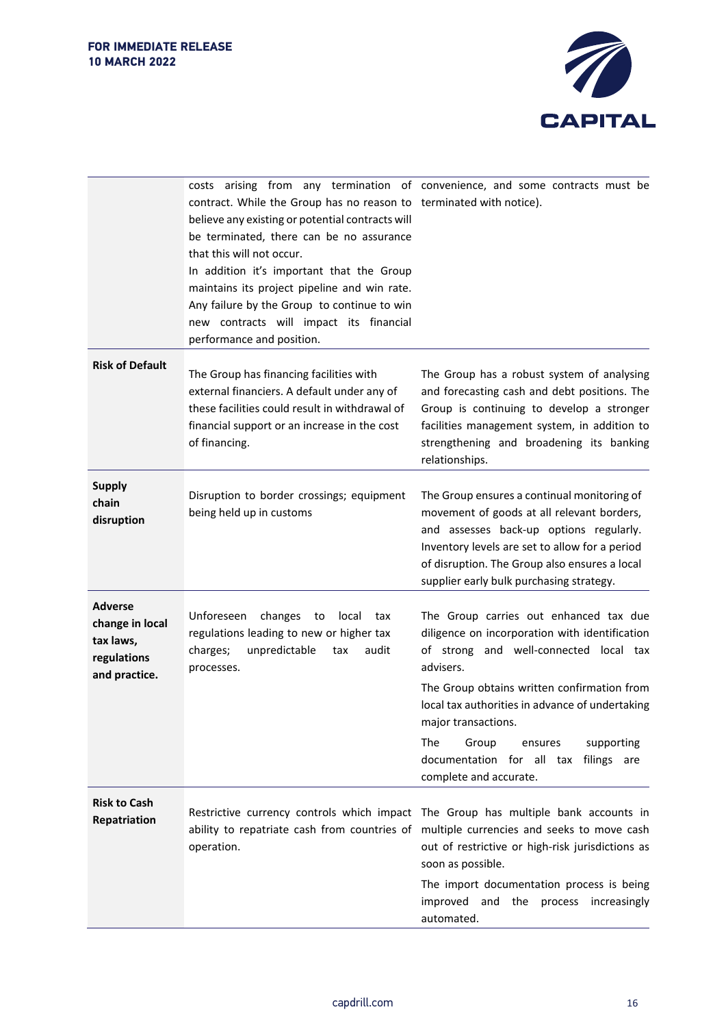

|                                                                                | contract. While the Group has no reason to terminated with notice).<br>believe any existing or potential contracts will<br>be terminated, there can be no assurance<br>that this will not occur.<br>In addition it's important that the Group<br>maintains its project pipeline and win rate.<br>Any failure by the Group to continue to win<br>new contracts will impact its financial<br>performance and position. | costs arising from any termination of convenience, and some contracts must be                                                                                                                                                                                                                                                                                                        |
|--------------------------------------------------------------------------------|----------------------------------------------------------------------------------------------------------------------------------------------------------------------------------------------------------------------------------------------------------------------------------------------------------------------------------------------------------------------------------------------------------------------|--------------------------------------------------------------------------------------------------------------------------------------------------------------------------------------------------------------------------------------------------------------------------------------------------------------------------------------------------------------------------------------|
| <b>Risk of Default</b>                                                         | The Group has financing facilities with<br>external financiers. A default under any of<br>these facilities could result in withdrawal of<br>financial support or an increase in the cost<br>of financing.                                                                                                                                                                                                            | The Group has a robust system of analysing<br>and forecasting cash and debt positions. The<br>Group is continuing to develop a stronger<br>facilities management system, in addition to<br>strengthening and broadening its banking<br>relationships.                                                                                                                                |
| <b>Supply</b><br>chain<br>disruption                                           | Disruption to border crossings; equipment<br>being held up in customs                                                                                                                                                                                                                                                                                                                                                | The Group ensures a continual monitoring of<br>movement of goods at all relevant borders,<br>and assesses back-up options regularly.<br>Inventory levels are set to allow for a period<br>of disruption. The Group also ensures a local<br>supplier early bulk purchasing strategy.                                                                                                  |
| <b>Adverse</b><br>change in local<br>tax laws,<br>regulations<br>and practice. | Unforeseen<br>changes<br>to<br>local<br>tax<br>regulations leading to new or higher tax<br>unpredictable<br>charges;<br>audit<br>tax<br>processes.                                                                                                                                                                                                                                                                   | The Group carries out enhanced tax due<br>diligence on incorporation with identification<br>of strong and well-connected local tax<br>advisers.<br>The Group obtains written confirmation from<br>local tax authorities in advance of undertaking<br>major transactions.<br>The<br>Group<br>supporting<br>ensures<br>documentation for all tax filings are<br>complete and accurate. |
| <b>Risk to Cash</b><br>Repatriation                                            | operation.                                                                                                                                                                                                                                                                                                                                                                                                           | Restrictive currency controls which impact The Group has multiple bank accounts in<br>ability to repatriate cash from countries of multiple currencies and seeks to move cash<br>out of restrictive or high-risk jurisdictions as<br>soon as possible.<br>The import documentation process is being<br>improved and the process increasingly<br>automated.                           |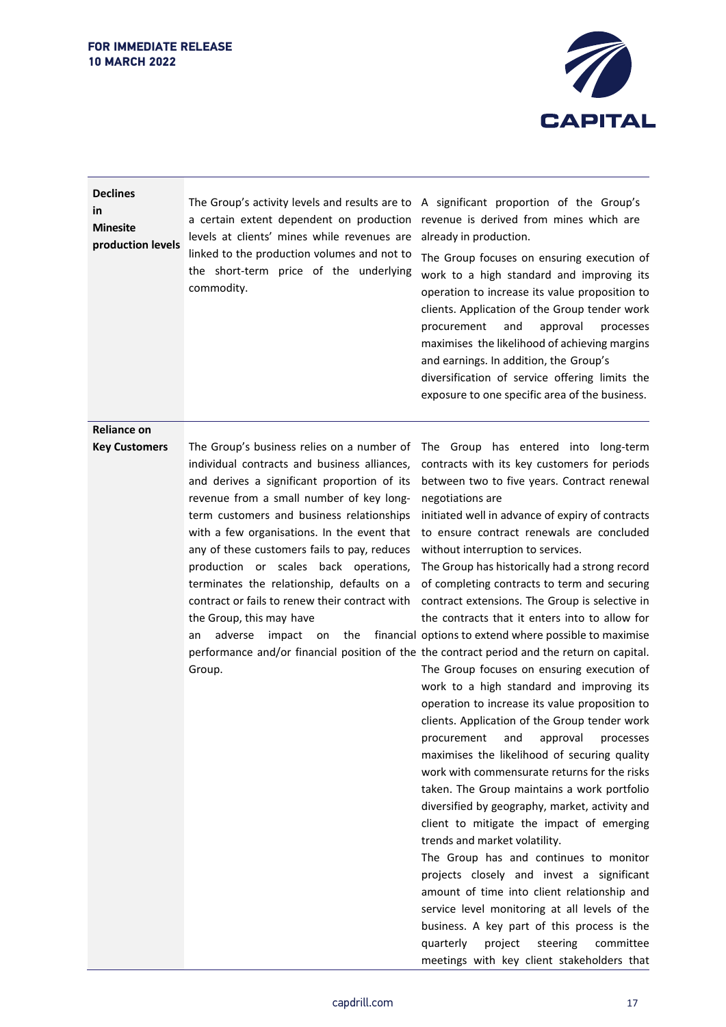

| <b>Declines</b><br>in<br><b>Minesite</b><br>production levels | The Group's activity levels and results are to<br>a certain extent dependent on production<br>levels at clients' mines while revenues are<br>linked to the production volumes and not to<br>the short-term price of the underlying<br>commodity.                                                                                                                                                                                                                                                                                                         | A significant proportion of the Group's<br>revenue is derived from mines which are<br>already in production.<br>The Group focuses on ensuring execution of<br>work to a high standard and improving its<br>operation to increase its value proposition to<br>clients. Application of the Group tender work<br>procurement<br>approval<br>and<br>processes<br>maximises the likelihood of achieving margins<br>and earnings. In addition, the Group's<br>diversification of service offering limits the<br>exposure to one specific area of the business.                                                                                                                                                                                                                                                                                                                                                                                                                                                                                                                                                                                                                                                                                                                                                                                                                                                                                                                                                                      |
|---------------------------------------------------------------|----------------------------------------------------------------------------------------------------------------------------------------------------------------------------------------------------------------------------------------------------------------------------------------------------------------------------------------------------------------------------------------------------------------------------------------------------------------------------------------------------------------------------------------------------------|-------------------------------------------------------------------------------------------------------------------------------------------------------------------------------------------------------------------------------------------------------------------------------------------------------------------------------------------------------------------------------------------------------------------------------------------------------------------------------------------------------------------------------------------------------------------------------------------------------------------------------------------------------------------------------------------------------------------------------------------------------------------------------------------------------------------------------------------------------------------------------------------------------------------------------------------------------------------------------------------------------------------------------------------------------------------------------------------------------------------------------------------------------------------------------------------------------------------------------------------------------------------------------------------------------------------------------------------------------------------------------------------------------------------------------------------------------------------------------------------------------------------------------|
| <b>Reliance on</b>                                            |                                                                                                                                                                                                                                                                                                                                                                                                                                                                                                                                                          |                                                                                                                                                                                                                                                                                                                                                                                                                                                                                                                                                                                                                                                                                                                                                                                                                                                                                                                                                                                                                                                                                                                                                                                                                                                                                                                                                                                                                                                                                                                               |
| <b>Key Customers</b>                                          | The Group's business relies on a number of<br>individual contracts and business alliances,<br>and derives a significant proportion of its<br>revenue from a small number of key long-<br>term customers and business relationships<br>with a few organisations. In the event that<br>any of these customers fails to pay, reduces<br>production or scales back operations,<br>terminates the relationship, defaults on a<br>contract or fails to renew their contract with<br>the Group, this may have<br>adverse<br>impact<br>the<br>an<br>on<br>Group. | The Group has entered into long-term<br>contracts with its key customers for periods<br>between two to five years. Contract renewal<br>negotiations are<br>initiated well in advance of expiry of contracts<br>to ensure contract renewals are concluded<br>without interruption to services.<br>The Group has historically had a strong record<br>of completing contracts to term and securing<br>contract extensions. The Group is selective in<br>the contracts that it enters into to allow for<br>financial options to extend where possible to maximise<br>performance and/or financial position of the the contract period and the return on capital.<br>The Group focuses on ensuring execution of<br>work to a high standard and improving its<br>operation to increase its value proposition to<br>clients. Application of the Group tender work<br>approval<br>procurement<br>and<br>processes<br>maximises the likelihood of securing quality<br>work with commensurate returns for the risks<br>taken. The Group maintains a work portfolio<br>diversified by geography, market, activity and<br>client to mitigate the impact of emerging<br>trends and market volatility.<br>The Group has and continues to monitor<br>projects closely and invest a significant<br>amount of time into client relationship and<br>service level monitoring at all levels of the<br>business. A key part of this process is the<br>quarterly<br>project<br>steering<br>committee<br>meetings with key client stakeholders that |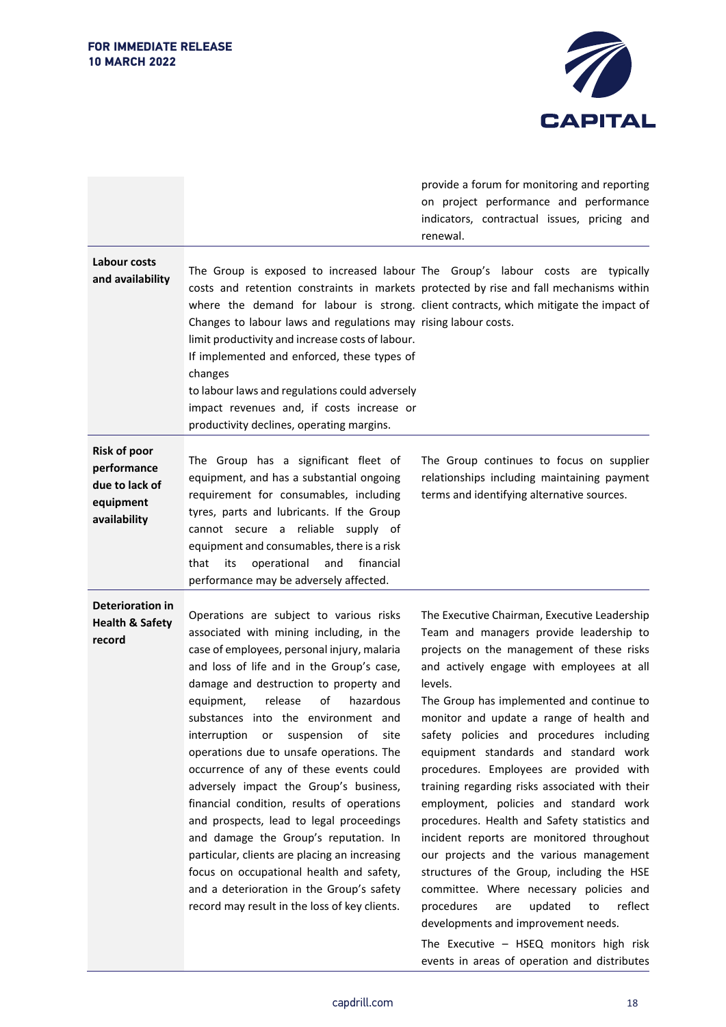

|                                                                                   |                                                                                                                                                                                                                                                                                                                                                                                                                                                                                                                                                                                                                                                                                                                                                                                                                      | provide a forum for monitoring and reporting<br>on project performance and performance<br>indicators, contractual issues, pricing and<br>renewal.                                                                                                                                                                                                                                                                                                                                                                                                                                                                                                                                                                                                                                                                                                                                                                                     |
|-----------------------------------------------------------------------------------|----------------------------------------------------------------------------------------------------------------------------------------------------------------------------------------------------------------------------------------------------------------------------------------------------------------------------------------------------------------------------------------------------------------------------------------------------------------------------------------------------------------------------------------------------------------------------------------------------------------------------------------------------------------------------------------------------------------------------------------------------------------------------------------------------------------------|---------------------------------------------------------------------------------------------------------------------------------------------------------------------------------------------------------------------------------------------------------------------------------------------------------------------------------------------------------------------------------------------------------------------------------------------------------------------------------------------------------------------------------------------------------------------------------------------------------------------------------------------------------------------------------------------------------------------------------------------------------------------------------------------------------------------------------------------------------------------------------------------------------------------------------------|
| Labour costs<br>and availability                                                  | Changes to labour laws and regulations may rising labour costs.<br>limit productivity and increase costs of labour.<br>If implemented and enforced, these types of<br>changes<br>to labour laws and regulations could adversely<br>impact revenues and, if costs increase or<br>productivity declines, operating margins.                                                                                                                                                                                                                                                                                                                                                                                                                                                                                            | The Group is exposed to increased labour The Group's labour costs are typically<br>costs and retention constraints in markets protected by rise and fall mechanisms within<br>where the demand for labour is strong. client contracts, which mitigate the impact of                                                                                                                                                                                                                                                                                                                                                                                                                                                                                                                                                                                                                                                                   |
| <b>Risk of poor</b><br>performance<br>due to lack of<br>equipment<br>availability | The Group has a significant fleet of<br>equipment, and has a substantial ongoing<br>requirement for consumables, including<br>tyres, parts and lubricants. If the Group<br>cannot secure a reliable supply of<br>equipment and consumables, there is a risk<br>operational<br>and<br>financial<br>that<br>its<br>performance may be adversely affected.                                                                                                                                                                                                                                                                                                                                                                                                                                                              | The Group continues to focus on supplier<br>relationships including maintaining payment<br>terms and identifying alternative sources.                                                                                                                                                                                                                                                                                                                                                                                                                                                                                                                                                                                                                                                                                                                                                                                                 |
| <b>Deterioration in</b><br><b>Health &amp; Safety</b><br>record                   | Operations are subject to various risks<br>associated with mining including, in the<br>case of employees, personal injury, malaria<br>and loss of life and in the Group's case,<br>damage and destruction to property and<br>release<br>of<br>hazardous<br>equipment,<br>substances into the environment and<br>interruption or suspension of<br>site<br>operations due to unsafe operations. The<br>occurrence of any of these events could<br>adversely impact the Group's business,<br>financial condition, results of operations<br>and prospects, lead to legal proceedings<br>and damage the Group's reputation. In<br>particular, clients are placing an increasing<br>focus on occupational health and safety,<br>and a deterioration in the Group's safety<br>record may result in the loss of key clients. | The Executive Chairman, Executive Leadership<br>Team and managers provide leadership to<br>projects on the management of these risks<br>and actively engage with employees at all<br>levels.<br>The Group has implemented and continue to<br>monitor and update a range of health and<br>safety policies and procedures including<br>equipment standards and standard work<br>procedures. Employees are provided with<br>training regarding risks associated with their<br>employment, policies and standard work<br>procedures. Health and Safety statistics and<br>incident reports are monitored throughout<br>our projects and the various management<br>structures of the Group, including the HSE<br>committee. Where necessary policies and<br>updated<br>reflect<br>procedures<br>are<br>to<br>developments and improvement needs.<br>The Executive - HSEQ monitors high risk<br>events in areas of operation and distributes |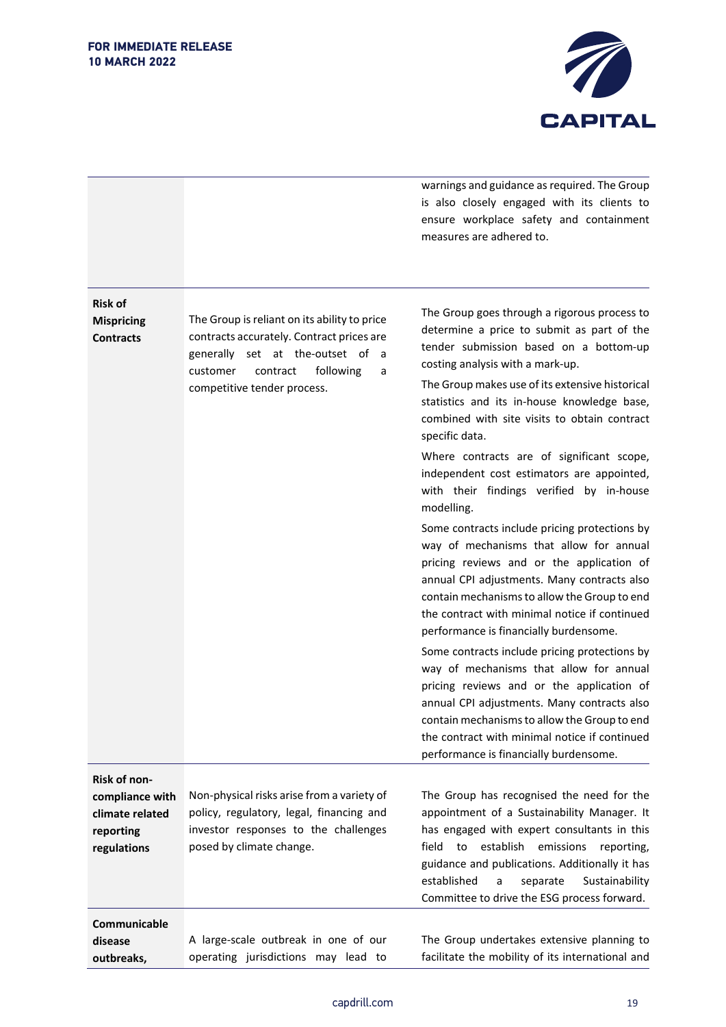

warnings and guidance as required. The Group is also closely engaged with its clients to ensure workplace safety and containment measures are adhered to.

| <b>Risk of</b><br><b>Mispricing</b><br><b>Contracts</b>                        | The Group is reliant on its ability to price<br>contracts accurately. Contract prices are<br>generally set at the-outset of a<br>following<br>customer<br>contract<br>a<br>competitive tender process. | The Group goes through a rigorous process to<br>determine a price to submit as part of the<br>tender submission based on a bottom-up<br>costing analysis with a mark-up.<br>The Group makes use of its extensive historical<br>statistics and its in-house knowledge base,<br>combined with site visits to obtain contract<br>specific data.<br>Where contracts are of significant scope,<br>independent cost estimators are appointed,<br>with their findings verified by in-house<br>modelling.<br>Some contracts include pricing protections by<br>way of mechanisms that allow for annual<br>pricing reviews and or the application of<br>annual CPI adjustments. Many contracts also<br>contain mechanisms to allow the Group to end<br>the contract with minimal notice if continued<br>performance is financially burdensome.<br>Some contracts include pricing protections by<br>way of mechanisms that allow for annual<br>pricing reviews and or the application of<br>annual CPI adjustments. Many contracts also<br>contain mechanisms to allow the Group to end<br>the contract with minimal notice if continued<br>performance is financially burdensome. |
|--------------------------------------------------------------------------------|--------------------------------------------------------------------------------------------------------------------------------------------------------------------------------------------------------|-------------------------------------------------------------------------------------------------------------------------------------------------------------------------------------------------------------------------------------------------------------------------------------------------------------------------------------------------------------------------------------------------------------------------------------------------------------------------------------------------------------------------------------------------------------------------------------------------------------------------------------------------------------------------------------------------------------------------------------------------------------------------------------------------------------------------------------------------------------------------------------------------------------------------------------------------------------------------------------------------------------------------------------------------------------------------------------------------------------------------------------------------------------------------|
| Risk of non-<br>compliance with<br>climate related<br>reporting<br>regulations | Non-physical risks arise from a variety of<br>policy, regulatory, legal, financing and<br>investor responses to the challenges<br>posed by climate change.                                             | The Group has recognised the need for the<br>appointment of a Sustainability Manager. It<br>has engaged with expert consultants in this<br>to establish<br>field<br>emissions<br>reporting,<br>guidance and publications. Additionally it has<br>established<br>separate<br>Sustainability<br>a<br>Committee to drive the ESG process forward.                                                                                                                                                                                                                                                                                                                                                                                                                                                                                                                                                                                                                                                                                                                                                                                                                          |
| Communicable<br>disease<br>outbreaks,                                          | A large-scale outbreak in one of our<br>operating jurisdictions may lead to                                                                                                                            | The Group undertakes extensive planning to<br>facilitate the mobility of its international and                                                                                                                                                                                                                                                                                                                                                                                                                                                                                                                                                                                                                                                                                                                                                                                                                                                                                                                                                                                                                                                                          |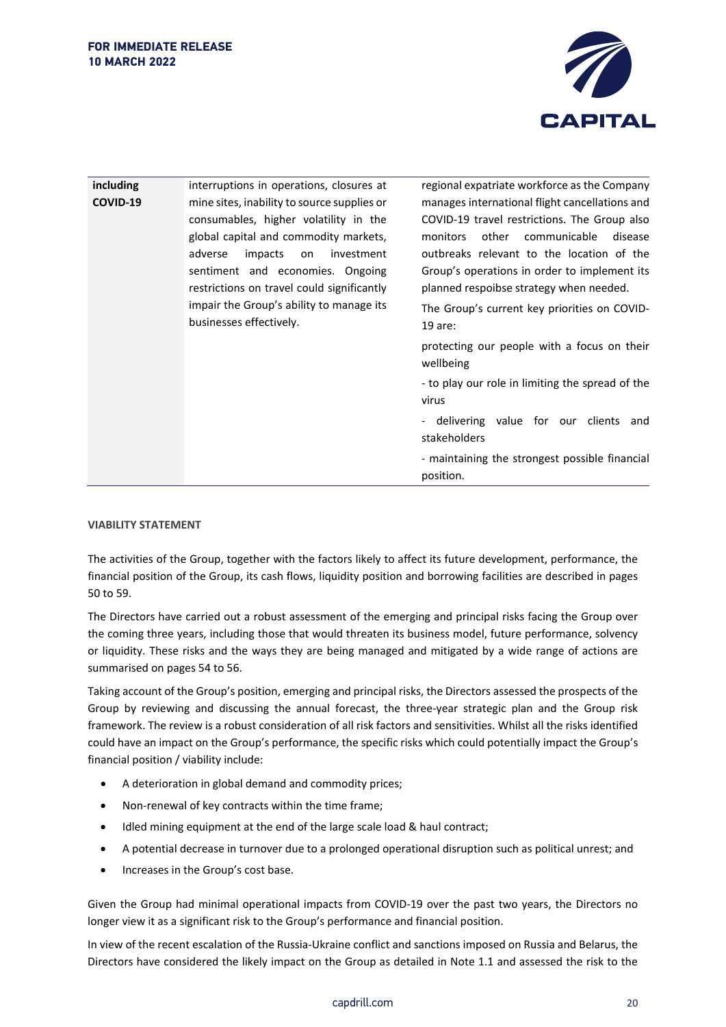

| including | interruptions in operations, closures at                                                                                                                                                                                                                                                                                         | regional expatriate workforce as the Company                                                                                                                                                                                                                                                                                                      |
|-----------|----------------------------------------------------------------------------------------------------------------------------------------------------------------------------------------------------------------------------------------------------------------------------------------------------------------------------------|---------------------------------------------------------------------------------------------------------------------------------------------------------------------------------------------------------------------------------------------------------------------------------------------------------------------------------------------------|
| COVID-19  | mine sites, inability to source supplies or<br>consumables, higher volatility in the<br>global capital and commodity markets,<br>adverse<br>impacts<br>investment<br>on<br>sentiment and economies. Ongoing<br>restrictions on travel could significantly<br>impair the Group's ability to manage its<br>businesses effectively. | manages international flight cancellations and<br>COVID-19 travel restrictions. The Group also<br>communicable<br>other<br>monitors<br>disease<br>outbreaks relevant to the location of the<br>Group's operations in order to implement its<br>planned respoibse strategy when needed.<br>The Group's current key priorities on COVID-<br>19 are: |
|           |                                                                                                                                                                                                                                                                                                                                  | protecting our people with a focus on their<br>wellbeing<br>- to play our role in limiting the spread of the<br>virus<br>- delivering value for our clients<br>and<br>stakeholders<br>- maintaining the strongest possible financial<br>position.                                                                                                 |

#### **VIABILITY STATEMENT**

The activities of the Group, together with the factors likely to affect its future development, performance, the financial position of the Group, its cash flows, liquidity position and borrowing facilities are described in pages 50 to 59.

The Directors have carried out a robust assessment of the emerging and principal risks facing the Group over the coming three years, including those that would threaten its business model, future performance, solvency or liquidity. These risks and the ways they are being managed and mitigated by a wide range of actions are summarised on pages 54 to 56.

Taking account of the Group's position, emerging and principal risks, the Directors assessed the prospects of the Group by reviewing and discussing the annual forecast, the three-year strategic plan and the Group risk framework. The review is a robust consideration of all risk factors and sensitivities. Whilst all the risks identified could have an impact on the Group's performance, the specific risks which could potentially impact the Group's financial position / viability include:

- A deterioration in global demand and commodity prices;
- Non-renewal of key contracts within the time frame;
- Idled mining equipment at the end of the large scale load & haul contract;
- A potential decrease in turnover due to a prolonged operational disruption such as political unrest; and
- Increases in the Group's cost base.

Given the Group had minimal operational impacts from COVID-19 over the past two years, the Directors no longer view it as a significant risk to the Group's performance and financial position.

In view of the recent escalation of the Russia-Ukraine conflict and sanctions imposed on Russia and Belarus, the Directors have considered the likely impact on the Group as detailed in Note 1.1 and assessed the risk to the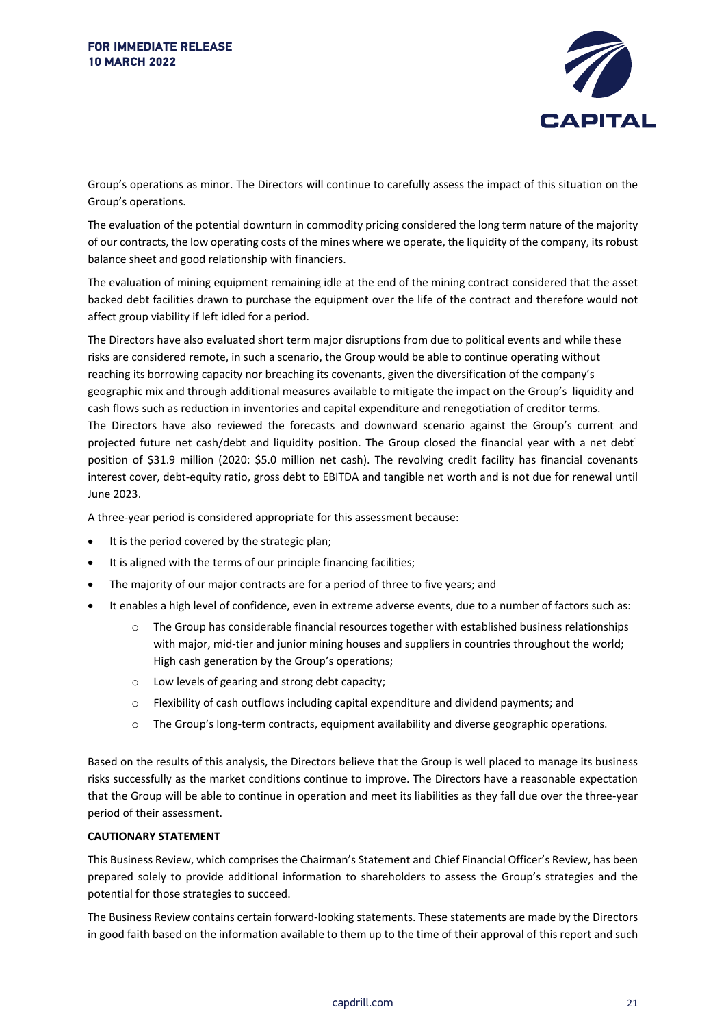

Group's operations as minor. The Directors will continue to carefully assess the impact of this situation on the Group's operations.

The evaluation of the potential downturn in commodity pricing considered the long term nature of the majority of our contracts, the low operating costs of the mines where we operate, the liquidity of the company, its robust balance sheet and good relationship with financiers.

The evaluation of mining equipment remaining idle at the end of the mining contract considered that the asset backed debt facilities drawn to purchase the equipment over the life of the contract and therefore would not affect group viability if left idled for a period.

The Directors have also evaluated short term major disruptions from due to political events and while these risks are considered remote, in such a scenario, the Group would be able to continue operating without reaching its borrowing capacity nor breaching its covenants, given the diversification of the company's geographic mix and through additional measures available to mitigate the impact on the Group's liquidity and cash flows such as reduction in inventories and capital expenditure and renegotiation of creditor terms. The Directors have also reviewed the forecasts and downward scenario against the Group's current and projected future net cash/debt and liquidity position. The Group closed the financial year with a net debt<sup>1</sup> position of \$31.9 million (2020: \$5.0 million net cash). The revolving credit facility has financial covenants interest cover, debt-equity ratio, gross debt to EBITDA and tangible net worth and is not due for renewal until June 2023.

A three-year period is considered appropriate for this assessment because:

- It is the period covered by the strategic plan;
- It is aligned with the terms of our principle financing facilities;
- The majority of our major contracts are for a period of three to five years; and
- It enables a high level of confidence, even in extreme adverse events, due to a number of factors such as:
	- o The Group has considerable financial resources together with established business relationships with major, mid-tier and junior mining houses and suppliers in countries throughout the world; High cash generation by the Group's operations;
	- o Low levels of gearing and strong debt capacity;
	- $\circ$  Flexibility of cash outflows including capital expenditure and dividend payments; and
	- o The Group's long-term contracts, equipment availability and diverse geographic operations.

Based on the results of this analysis, the Directors believe that the Group is well placed to manage its business risks successfully as the market conditions continue to improve. The Directors have a reasonable expectation that the Group will be able to continue in operation and meet its liabilities as they fall due over the three-year period of their assessment.

## **CAUTIONARY STATEMENT**

This Business Review, which comprises the Chairman's Statement and Chief Financial Officer's Review, has been prepared solely to provide additional information to shareholders to assess the Group's strategies and the potential for those strategies to succeed.

The Business Review contains certain forward-looking statements. These statements are made by the Directors in good faith based on the information available to them up to the time of their approval of this report and such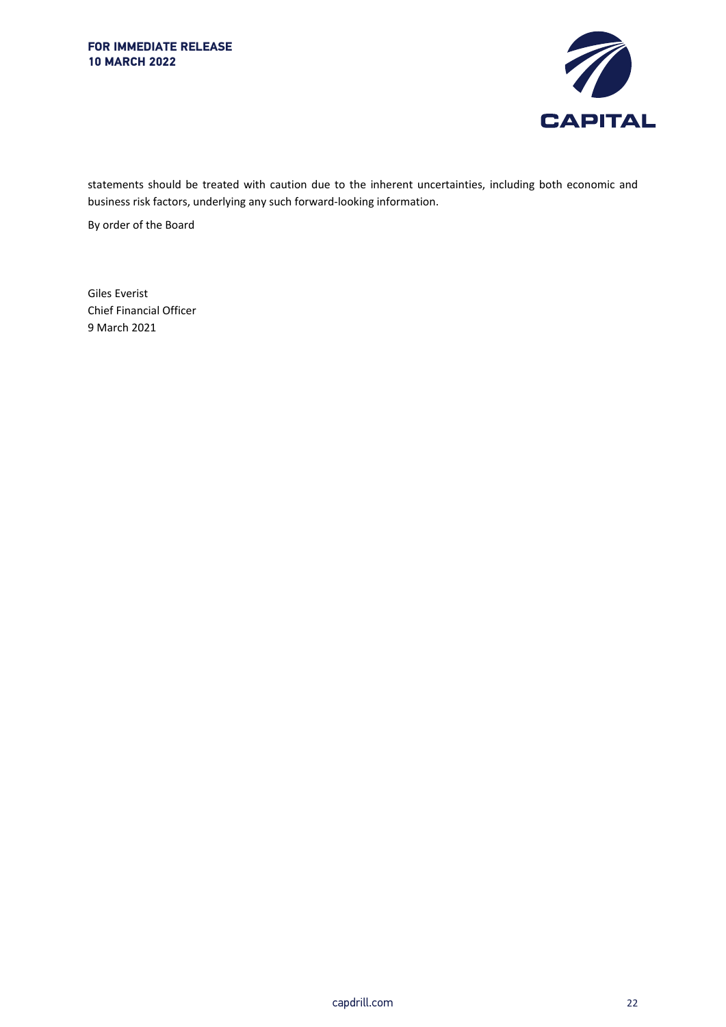

statements should be treated with caution due to the inherent uncertainties, including both economic and business risk factors, underlying any such forward-looking information.

By order of the Board

Giles Everist Chief Financial Officer 9 March 2021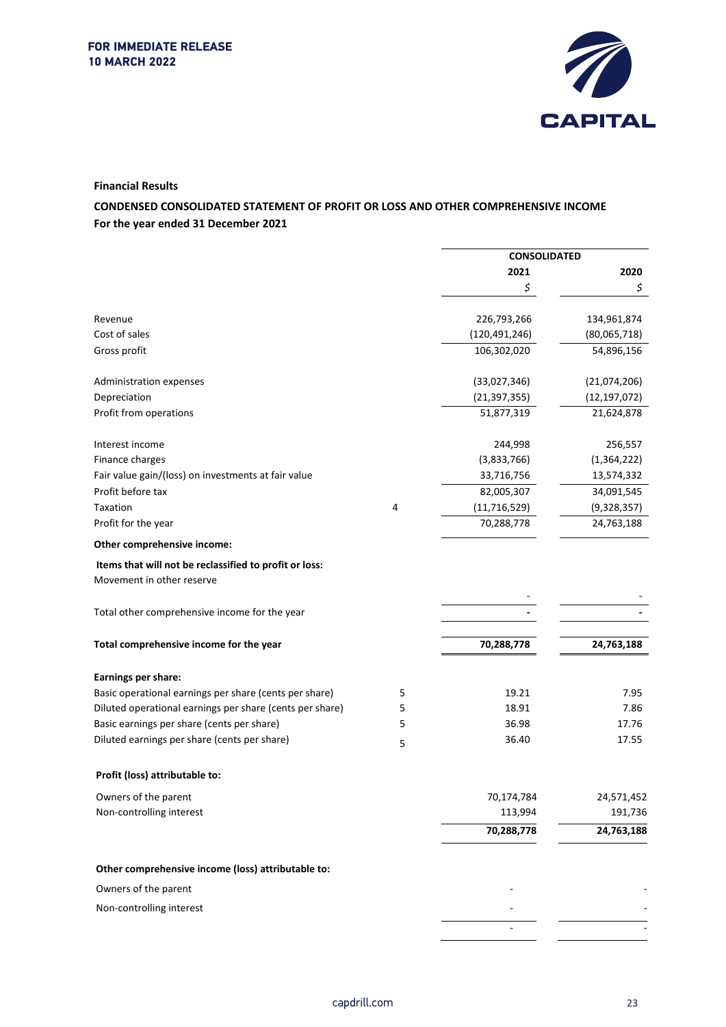

#### **Financial Results**

## **CONDENSED CONSOLIDATED STATEMENT OF PROFIT OR LOSS AND OTHER COMPREHENSIVE INCOME For the year ended 31 December 2021**

|                                                          |   | <b>CONSOLIDATED</b> |                |
|----------------------------------------------------------|---|---------------------|----------------|
|                                                          |   | 2021                | 2020           |
|                                                          |   | \$                  | \$             |
| Revenue                                                  |   | 226,793,266         | 134,961,874    |
| Cost of sales                                            |   | (120, 491, 246)     | (80,065,718)   |
| Gross profit                                             |   | 106,302,020         | 54,896,156     |
| Administration expenses                                  |   | (33,027,346)        | (21,074,206)   |
| Depreciation                                             |   | (21, 397, 355)      | (12, 197, 072) |
| Profit from operations                                   |   | 51,877,319          | 21,624,878     |
| Interest income                                          |   | 244,998             | 256,557        |
| Finance charges                                          |   | (3,833,766)         | (1, 364, 222)  |
| Fair value gain/(loss) on investments at fair value      |   | 33,716,756          | 13,574,332     |
| Profit before tax                                        |   | 82,005,307          | 34,091,545     |
| <b>Taxation</b>                                          | 4 | (11, 716, 529)      | (9,328,357)    |
| Profit for the year                                      |   | 70,288,778          | 24,763,188     |
| Other comprehensive income:                              |   |                     |                |
| Items that will not be reclassified to profit or loss:   |   |                     |                |
| Movement in other reserve                                |   |                     |                |
| Total other comprehensive income for the year            |   |                     |                |
| Total comprehensive income for the year                  |   | 70,288,778          | 24,763,188     |
| Earnings per share:                                      |   |                     |                |
| Basic operational earnings per share (cents per share)   | 5 | 19.21               | 7.95           |
| Diluted operational earnings per share (cents per share) | 5 | 18.91               | 7.86           |
| Basic earnings per share (cents per share)               | 5 | 36.98               | 17.76          |
| Diluted earnings per share (cents per share)             | 5 | 36.40               | 17.55          |
| Profit (loss) attributable to:                           |   |                     |                |
| Owners of the parent                                     |   | 70,174,784          | 24,571,452     |
| Non-controlling interest                                 |   | 113,994             | 191,736        |
|                                                          |   | 70,288,778          | 24,763,188     |
| Other comprehensive income (loss) attributable to:       |   |                     |                |
| Owners of the parent                                     |   |                     |                |
| Non-controlling interest                                 |   |                     |                |
|                                                          |   |                     |                |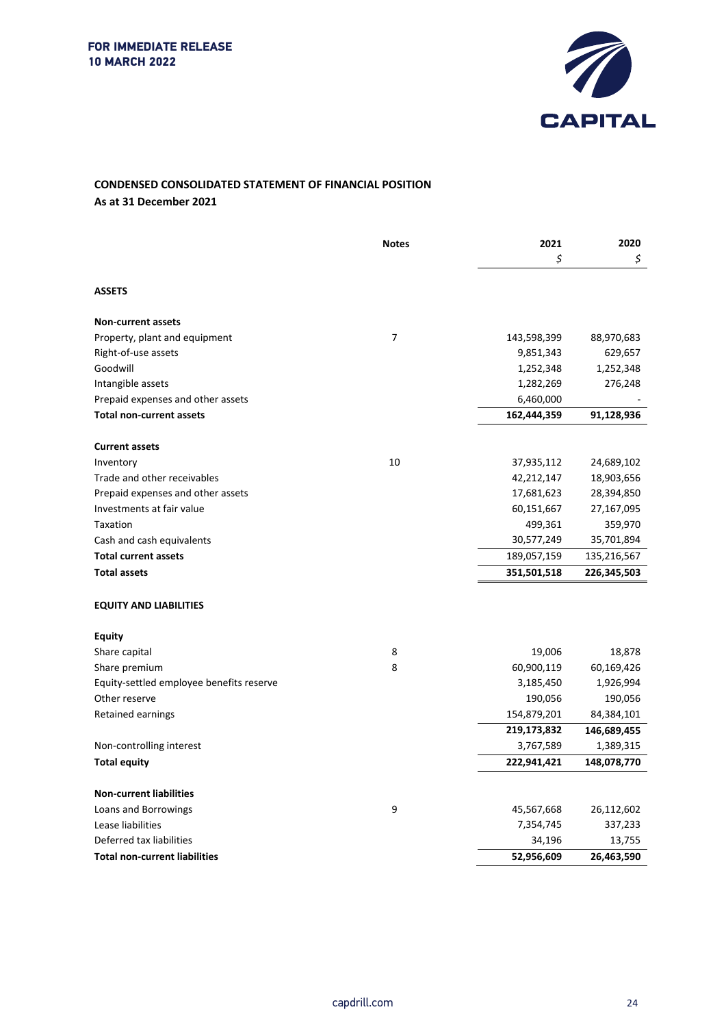

## **CONDENSED CONSOLIDATED STATEMENT OF FINANCIAL POSITION As at 31 December 2021**

|                                          | <b>Notes</b>   | 2021<br>\$  | 2020<br>\$  |
|------------------------------------------|----------------|-------------|-------------|
| <b>ASSETS</b>                            |                |             |             |
| <b>Non-current assets</b>                |                |             |             |
| Property, plant and equipment            | $\overline{7}$ | 143,598,399 | 88,970,683  |
| Right-of-use assets                      |                | 9,851,343   | 629,657     |
| Goodwill                                 |                | 1,252,348   | 1,252,348   |
| Intangible assets                        |                | 1,282,269   | 276,248     |
| Prepaid expenses and other assets        |                | 6,460,000   |             |
| <b>Total non-current assets</b>          |                | 162,444,359 | 91,128,936  |
| <b>Current assets</b>                    |                |             |             |
| Inventory                                | 10             | 37,935,112  | 24,689,102  |
| Trade and other receivables              |                | 42,212,147  | 18,903,656  |
| Prepaid expenses and other assets        |                | 17,681,623  | 28,394,850  |
| Investments at fair value                |                | 60,151,667  | 27,167,095  |
| Taxation                                 |                | 499,361     | 359,970     |
| Cash and cash equivalents                |                | 30,577,249  | 35,701,894  |
| <b>Total current assets</b>              |                | 189,057,159 | 135,216,567 |
| <b>Total assets</b>                      |                | 351,501,518 | 226,345,503 |
| <b>EQUITY AND LIABILITIES</b>            |                |             |             |
| Equity                                   |                |             |             |
| Share capital                            | 8              | 19,006      | 18,878      |
| Share premium                            | 8              | 60,900,119  | 60,169,426  |
| Equity-settled employee benefits reserve |                | 3,185,450   | 1,926,994   |
| Other reserve                            |                | 190,056     | 190,056     |
| Retained earnings                        |                | 154,879,201 | 84,384,101  |
|                                          |                | 219,173,832 | 146,689,455 |
| Non-controlling interest                 |                | 3,767,589   | 1,389,315   |
| <b>Total equity</b>                      |                | 222,941,421 | 148,078,770 |
| <b>Non-current liabilities</b>           |                |             |             |
| Loans and Borrowings                     | 9              | 45,567,668  | 26,112,602  |
| Lease liabilities                        |                | 7,354,745   | 337,233     |
| Deferred tax liabilities                 |                | 34,196      | 13,755      |
| <b>Total non-current liabilities</b>     |                | 52,956,609  | 26,463,590  |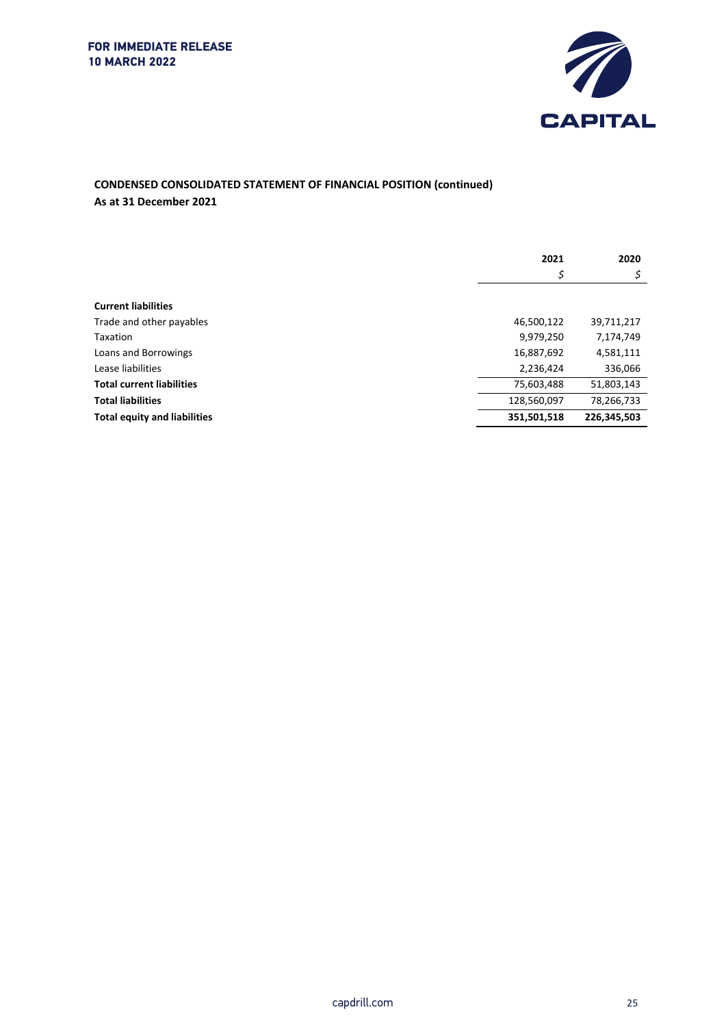

## **CONDENSED CONSOLIDATED STATEMENT OF FINANCIAL POSITION (continued) As at 31 December 2021**

|                                     | 2021        | 2020        |
|-------------------------------------|-------------|-------------|
|                                     | \$          | \$.         |
|                                     |             |             |
| <b>Current liabilities</b>          |             |             |
| Trade and other payables            | 46,500,122  | 39,711,217  |
| Taxation                            | 9,979,250   | 7,174,749   |
| Loans and Borrowings                | 16,887,692  | 4,581,111   |
| Lease liabilities                   | 2,236,424   | 336,066     |
| <b>Total current liabilities</b>    | 75,603,488  | 51,803,143  |
| <b>Total liabilities</b>            | 128,560,097 | 78,266,733  |
| <b>Total equity and liabilities</b> | 351,501,518 | 226,345,503 |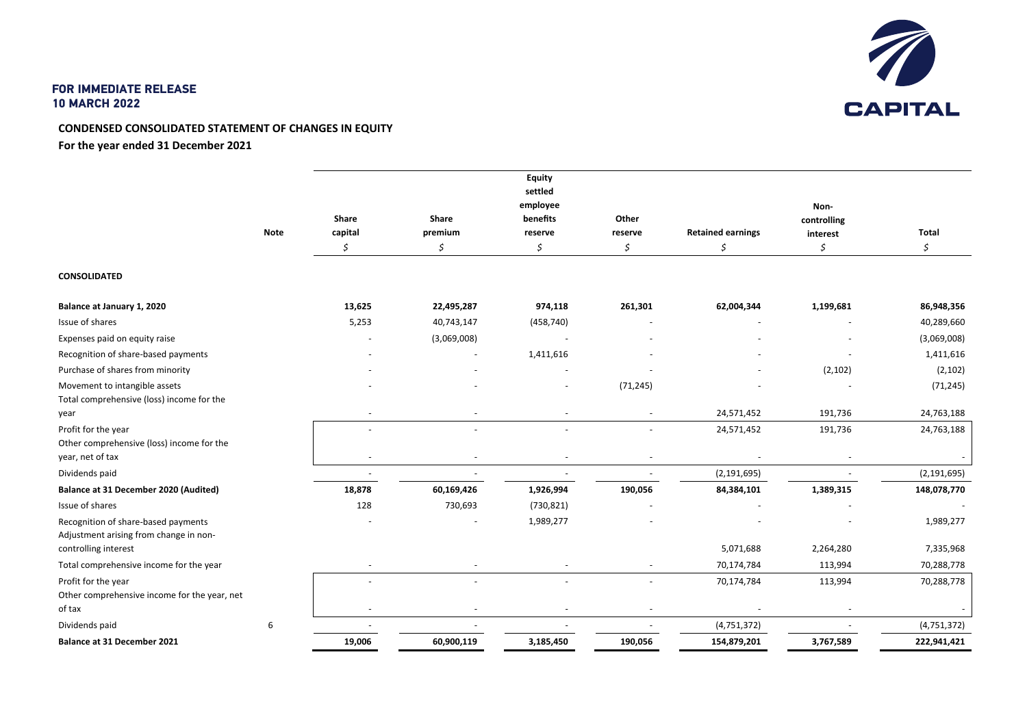

## **CONDENSED CONSOLIDATED STATEMENT OF CHANGES IN EQUITY For the year ended 31 December 2021**

|                                              |             |         |                          | <b>Equity</b><br>settled<br>employee |                          |                          |                     |               |
|----------------------------------------------|-------------|---------|--------------------------|--------------------------------------|--------------------------|--------------------------|---------------------|---------------|
|                                              |             | Share   | Share                    | benefits                             | Other                    |                          | Non-<br>controlling |               |
|                                              | <b>Note</b> | capital | premium                  | reserve                              | reserve                  | <b>Retained earnings</b> | interest            | <b>Total</b>  |
|                                              |             | Ś       | \$                       | \$                                   | \$                       | \$                       | \$                  | \$            |
| <b>CONSOLIDATED</b>                          |             |         |                          |                                      |                          |                          |                     |               |
| Balance at January 1, 2020                   |             | 13,625  | 22,495,287               | 974,118                              | 261,301                  | 62,004,344               | 1,199,681           | 86,948,356    |
| Issue of shares                              |             | 5,253   | 40,743,147               | (458, 740)                           |                          |                          |                     | 40,289,660    |
| Expenses paid on equity raise                |             |         | (3,069,008)              | $\overline{\phantom{a}}$             |                          |                          |                     | (3,069,008)   |
| Recognition of share-based payments          |             |         |                          | 1,411,616                            |                          |                          |                     | 1,411,616     |
| Purchase of shares from minority             |             |         |                          |                                      |                          |                          | (2, 102)            | (2, 102)      |
| Movement to intangible assets                |             |         |                          |                                      | (71, 245)                |                          |                     | (71, 245)     |
| Total comprehensive (loss) income for the    |             |         |                          |                                      |                          |                          |                     |               |
| year                                         |             |         |                          |                                      |                          | 24,571,452               | 191,736             | 24,763,188    |
| Profit for the year                          |             |         | $\overline{\phantom{a}}$ | $\blacksquare$                       |                          | 24,571,452               | 191,736             | 24,763,188    |
| Other comprehensive (loss) income for the    |             |         |                          |                                      |                          |                          |                     |               |
| year, net of tax                             |             |         | $\overline{\phantom{a}}$ | $\overline{\phantom{a}}$             |                          |                          |                     |               |
| Dividends paid                               |             |         |                          | $\sim$                               |                          | (2, 191, 695)            |                     | (2, 191, 695) |
| Balance at 31 December 2020 (Audited)        |             | 18,878  | 60,169,426               | 1,926,994                            | 190,056                  | 84,384,101               | 1,389,315           | 148,078,770   |
| Issue of shares                              |             | 128     | 730,693                  | (730, 821)                           |                          |                          |                     |               |
| Recognition of share-based payments          |             |         |                          | 1,989,277                            |                          |                          |                     | 1,989,277     |
| Adjustment arising from change in non-       |             |         |                          |                                      |                          |                          |                     |               |
| controlling interest                         |             |         |                          |                                      |                          | 5,071,688                | 2,264,280           | 7,335,968     |
| Total comprehensive income for the year      |             |         |                          |                                      |                          | 70,174,784               | 113,994             | 70,288,778    |
| Profit for the year                          |             |         |                          |                                      |                          | 70,174,784               | 113,994             | 70,288,778    |
| Other comprehensive income for the year, net |             |         |                          |                                      |                          |                          |                     |               |
| of tax                                       |             |         |                          |                                      | $\overline{\phantom{a}}$ |                          |                     |               |
| Dividends paid                               | 6           |         |                          |                                      |                          | (4, 751, 372)            |                     | (4, 751, 372) |
| <b>Balance at 31 December 2021</b>           |             | 19,006  | 60,900,119               | 3,185,450                            | 190,056                  | 154,879,201              | 3,767,589           | 222,941,421   |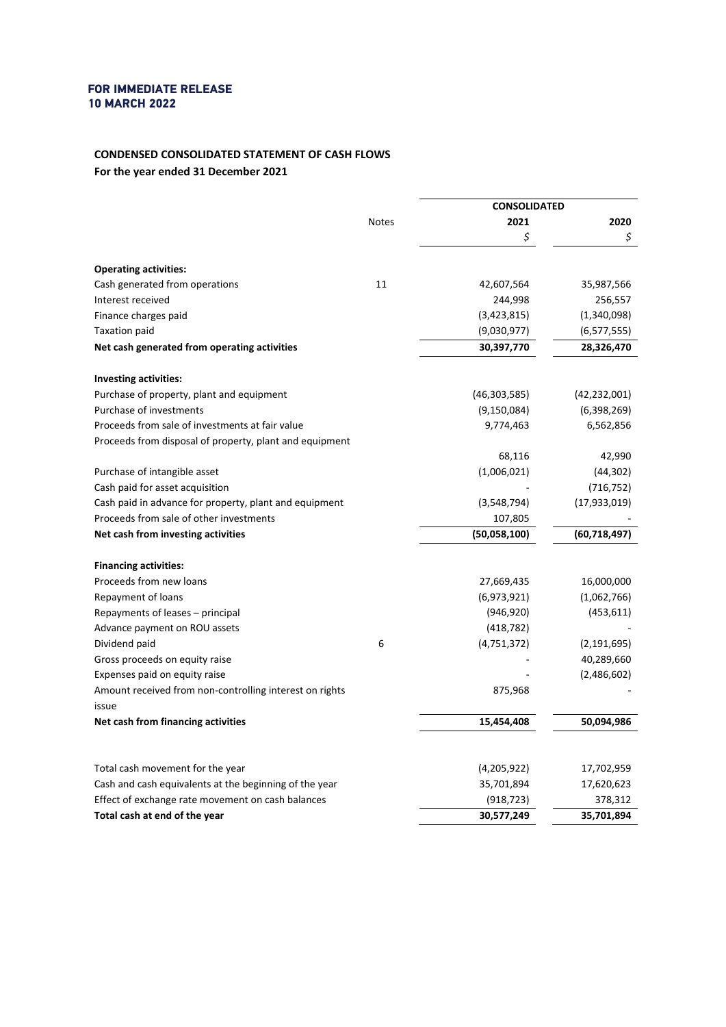## **CONDENSED CONSOLIDATED STATEMENT OF CASH FLOWS For the year ended 31 December 2021**

|                                                         |              | <b>CONSOLIDATED</b> |                |
|---------------------------------------------------------|--------------|---------------------|----------------|
|                                                         | <b>Notes</b> | 2021                | 2020           |
|                                                         |              | \$                  | \$             |
| <b>Operating activities:</b>                            |              |                     |                |
| Cash generated from operations                          | 11           | 42,607,564          | 35,987,566     |
| Interest received                                       |              | 244,998             | 256,557        |
| Finance charges paid                                    |              | (3,423,815)         | (1,340,098)    |
| Taxation paid                                           |              | (9,030,977)         | (6, 577, 555)  |
| Net cash generated from operating activities            |              | 30,397,770          | 28,326,470     |
|                                                         |              |                     |                |
| <b>Investing activities:</b>                            |              |                     |                |
| Purchase of property, plant and equipment               |              | (46, 303, 585)      | (42, 232, 001) |
| Purchase of investments                                 |              | (9, 150, 084)       | (6,398,269)    |
| Proceeds from sale of investments at fair value         |              | 9,774,463           | 6,562,856      |
| Proceeds from disposal of property, plant and equipment |              |                     |                |
|                                                         |              | 68,116              | 42,990         |
| Purchase of intangible asset                            |              | (1,006,021)         | (44, 302)      |
| Cash paid for asset acquisition                         |              |                     | (716, 752)     |
| Cash paid in advance for property, plant and equipment  |              | (3,548,794)         | (17,933,019)   |
| Proceeds from sale of other investments                 |              | 107,805             |                |
| Net cash from investing activities                      |              | (50,058,100)        | (60, 718, 497) |
| <b>Financing activities:</b>                            |              |                     |                |
| Proceeds from new loans                                 |              | 27,669,435          | 16,000,000     |
| Repayment of loans                                      |              | (6,973,921)         | (1,062,766)    |
| Repayments of leases – principal                        |              | (946, 920)          | (453, 611)     |
| Advance payment on ROU assets                           |              | (418, 782)          |                |
| Dividend paid                                           | 6            | (4,751,372)         | (2, 191, 695)  |
| Gross proceeds on equity raise                          |              |                     | 40,289,660     |
| Expenses paid on equity raise                           |              |                     | (2,486,602)    |
| Amount received from non-controlling interest on rights |              | 875,968             |                |
| issue                                                   |              |                     |                |
| Net cash from financing activities                      |              | 15,454,408          | 50,094,986     |
|                                                         |              |                     |                |
| Total cash movement for the year                        |              | (4,205,922)         | 17,702,959     |
| Cash and cash equivalents at the beginning of the year  |              | 35,701,894          | 17,620,623     |
| Effect of exchange rate movement on cash balances       |              | (918, 723)          | 378,312        |
| Total cash at end of the year                           |              | 30,577,249          | 35,701,894     |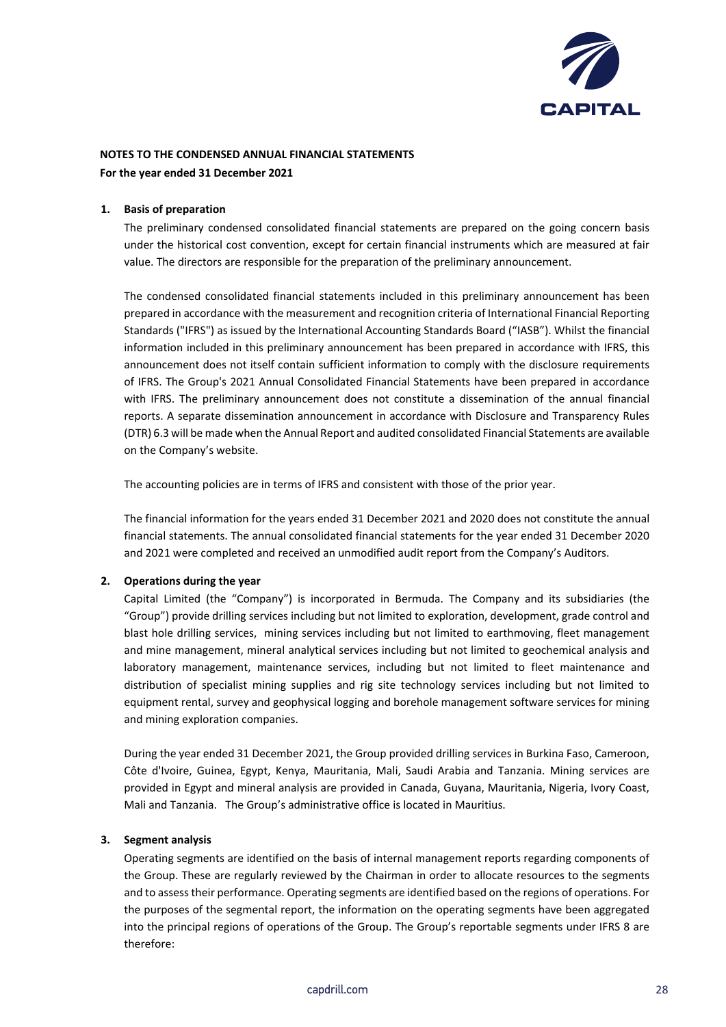

#### **1. Basis of preparation**

The preliminary condensed consolidated financial statements are prepared on the going concern basis under the historical cost convention, except for certain financial instruments which are measured at fair value. The directors are responsible for the preparation of the preliminary announcement.

The condensed consolidated financial statements included in this preliminary announcement has been prepared in accordance with the measurement and recognition criteria of International Financial Reporting Standards ("IFRS") as issued by the International Accounting Standards Board ("IASB"). Whilst the financial information included in this preliminary announcement has been prepared in accordance with IFRS, this announcement does not itself contain sufficient information to comply with the disclosure requirements of IFRS. The Group's 2021 Annual Consolidated Financial Statements have been prepared in accordance with IFRS. The preliminary announcement does not constitute a dissemination of the annual financial reports. A separate dissemination announcement in accordance with Disclosure and Transparency Rules (DTR) 6.3 will be made when the Annual Report and audited consolidated Financial Statements are available on the Company's website.

The accounting policies are in terms of IFRS and consistent with those of the prior year.

The financial information for the years ended 31 December 2021 and 2020 does not constitute the annual financial statements. The annual consolidated financial statements for the year ended 31 December 2020 and 2021 were completed and received an unmodified audit report from the Company's Auditors.

#### **2. Operations during the year**

Capital Limited (the "Company") is incorporated in Bermuda. The Company and its subsidiaries (the "Group") provide drilling services including but not limited to exploration, development, grade control and blast hole drilling services, mining services including but not limited to earthmoving, fleet management and mine management, mineral analytical services including but not limited to geochemical analysis and laboratory management, maintenance services, including but not limited to fleet maintenance and distribution of specialist mining supplies and rig site technology services including but not limited to equipment rental, survey and geophysical logging and borehole management software services for mining and mining exploration companies.

During the year ended 31 December 2021, the Group provided drilling services in Burkina Faso, Cameroon, Côte d'Ivoire, Guinea, Egypt, Kenya, Mauritania, Mali, Saudi Arabia and Tanzania. Mining services are provided in Egypt and mineral analysis are provided in Canada, Guyana, Mauritania, Nigeria, Ivory Coast, Mali and Tanzania. The Group's administrative office is located in Mauritius.

#### **3. Segment analysis**

Operating segments are identified on the basis of internal management reports regarding components of the Group. These are regularly reviewed by the Chairman in order to allocate resources to the segments and to assess their performance. Operating segments are identified based on the regions of operations. For the purposes of the segmental report, the information on the operating segments have been aggregated into the principal regions of operations of the Group. The Group's reportable segments under IFRS 8 are therefore: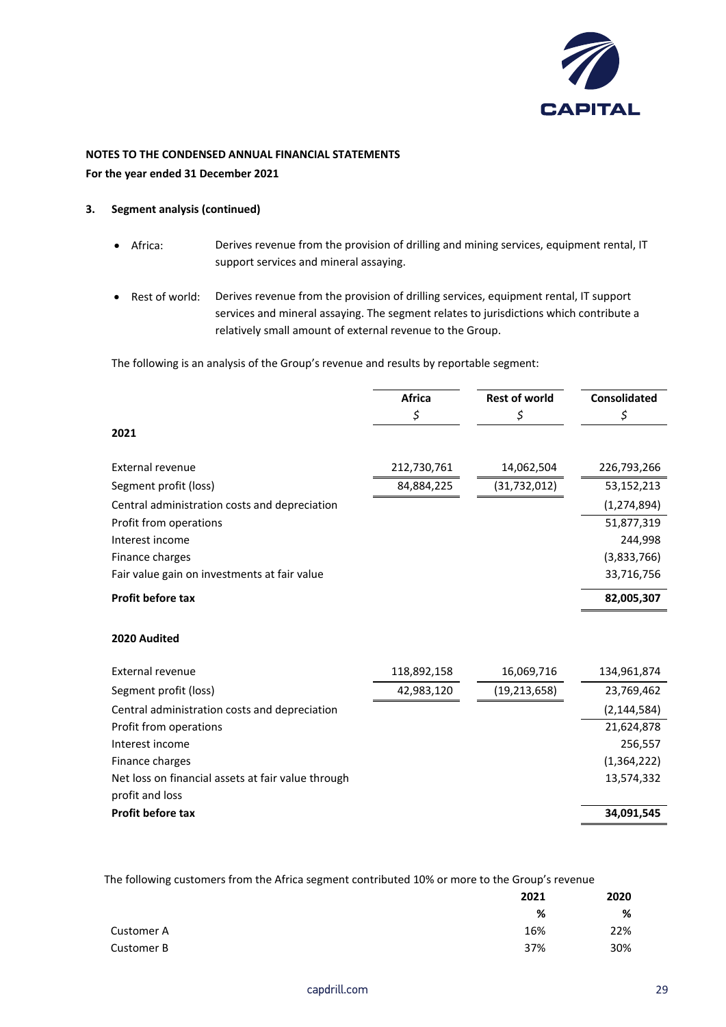

- **3. Segment analysis (continued)**
	- Africa: Derives revenue from the provision of drilling and mining services, equipment rental, IT support services and mineral assaying.
	- Rest of world: Derives revenue from the provision of drilling services, equipment rental, IT support services and mineral assaying. The segment relates to jurisdictions which contribute a relatively small amount of external revenue to the Group.

The following is an analysis of the Group's revenue and results by reportable segment:

|                                               | <b>Africa</b><br>Ş | <b>Rest of world</b><br>Ş | <b>Consolidated</b><br>Ş |
|-----------------------------------------------|--------------------|---------------------------|--------------------------|
| 2021                                          |                    |                           |                          |
| External revenue                              | 212,730,761        | 14,062,504                | 226,793,266              |
| Segment profit (loss)                         | 84,884,225         | (31,732,012)              | 53,152,213               |
| Central administration costs and depreciation |                    |                           | (1, 274, 894)            |
| Profit from operations                        |                    |                           | 51,877,319               |
| Interest income                               |                    |                           | 244.998                  |
| Finance charges                               |                    |                           | (3,833,766)              |
| Fair value gain on investments at fair value  |                    |                           | 33,716,756               |
| <b>Profit before tax</b>                      |                    |                           | 82,005,307               |

#### **2020 Audited**

| External revenue                                   | 118,892,158 | 16,069,716   | 134,961,874   |
|----------------------------------------------------|-------------|--------------|---------------|
| Segment profit (loss)                              | 42,983,120  | (19,213,658) | 23,769,462    |
| Central administration costs and depreciation      |             |              | (2, 144, 584) |
| Profit from operations                             |             |              | 21,624,878    |
| Interest income                                    |             |              | 256,557       |
| Finance charges                                    |             |              | (1,364,222)   |
| Net loss on financial assets at fair value through |             |              | 13,574,332    |
| profit and loss                                    |             |              |               |
| <b>Profit before tax</b>                           |             |              | 34,091,545    |

The following customers from the Africa segment contributed 10% or more to the Group's revenue

|            | 2021 | 2020 |
|------------|------|------|
|            | %    | %    |
| Customer A | 16%  | 22%  |
| Customer B | 37%  | 30%  |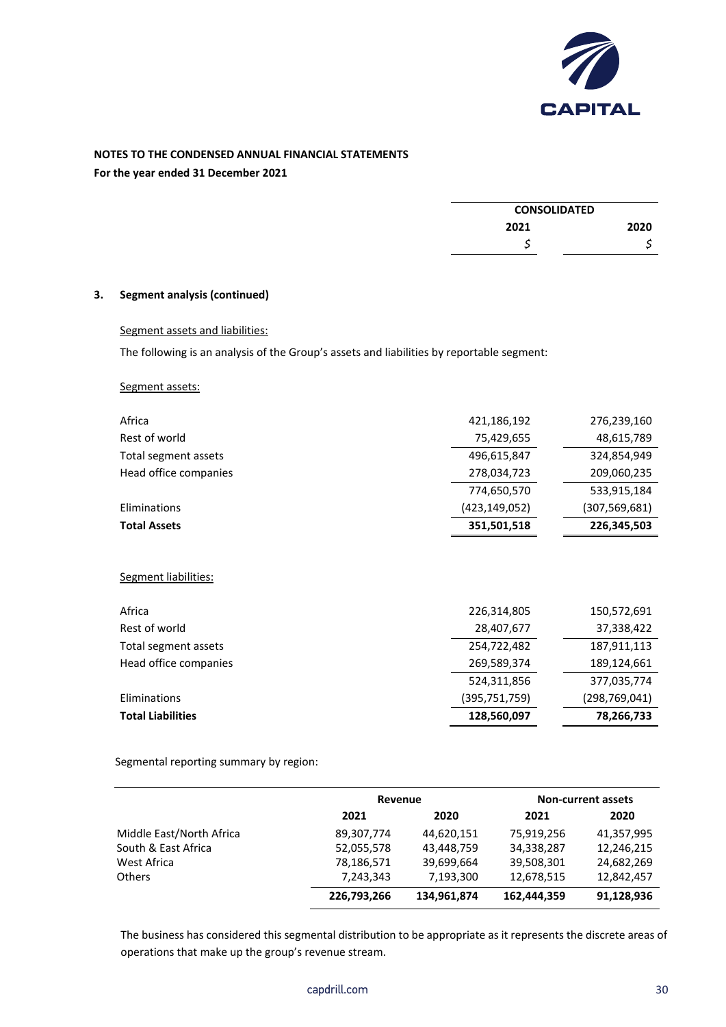

## **NOTES TO THE CONDENSED ANNUAL FINANCIAL STATEMENTS**

**For the year ended 31 December 2021**

| <b>CONSOLIDATED</b> |      |
|---------------------|------|
| 2021                | 2020 |
|                     |      |

## **3. Segment analysis (continued)**

## Segment assets and liabilities:

The following is an analysis of the Group's assets and liabilities by reportable segment:

#### Segment assets:

| Africa                   | 421,186,192   | 276,239,160     |
|--------------------------|---------------|-----------------|
|                          |               |                 |
| Rest of world            | 75,429,655    | 48,615,789      |
| Total segment assets     | 496,615,847   | 324,854,949     |
| Head office companies    | 278,034,723   | 209,060,235     |
|                          | 774,650,570   | 533,915,184     |
| Eliminations             | (423,149,052) | (307, 569, 681) |
| <b>Total Assets</b>      | 351,501,518   | 226,345,503     |
| Segment liabilities:     |               |                 |
| Africa                   | 226,314,805   | 150,572,691     |
| Rest of world            | 28,407,677    | 37,338,422      |
| Total segment assets     | 254,722,482   | 187,911,113     |
| Head office companies    | 269,589,374   | 189,124,661     |
|                          | 524,311,856   | 377,035,774     |
| Eliminations             | (395,751,759) | (298, 769, 041) |
| <b>Total Liabilities</b> | 128,560,097   | 78,266,733      |
|                          |               |                 |

Segmental reporting summary by region:

|                          | Revenue     |             | <b>Non-current assets</b> |            |
|--------------------------|-------------|-------------|---------------------------|------------|
|                          | 2021        | 2020        | 2021                      | 2020       |
| Middle East/North Africa | 89,307,774  | 44,620,151  | 75,919,256                | 41,357,995 |
| South & East Africa      | 52,055,578  | 43,448,759  | 34,338,287                | 12,246,215 |
| West Africa              | 78,186,571  | 39,699,664  | 39,508,301                | 24,682,269 |
| Others                   | 7,243,343   | 7,193,300   | 12,678,515                | 12,842,457 |
|                          | 226,793,266 | 134,961,874 | 162,444,359               | 91,128,936 |

The business has considered this segmental distribution to be appropriate as it represents the discrete areas of operations that make up the group's revenue stream.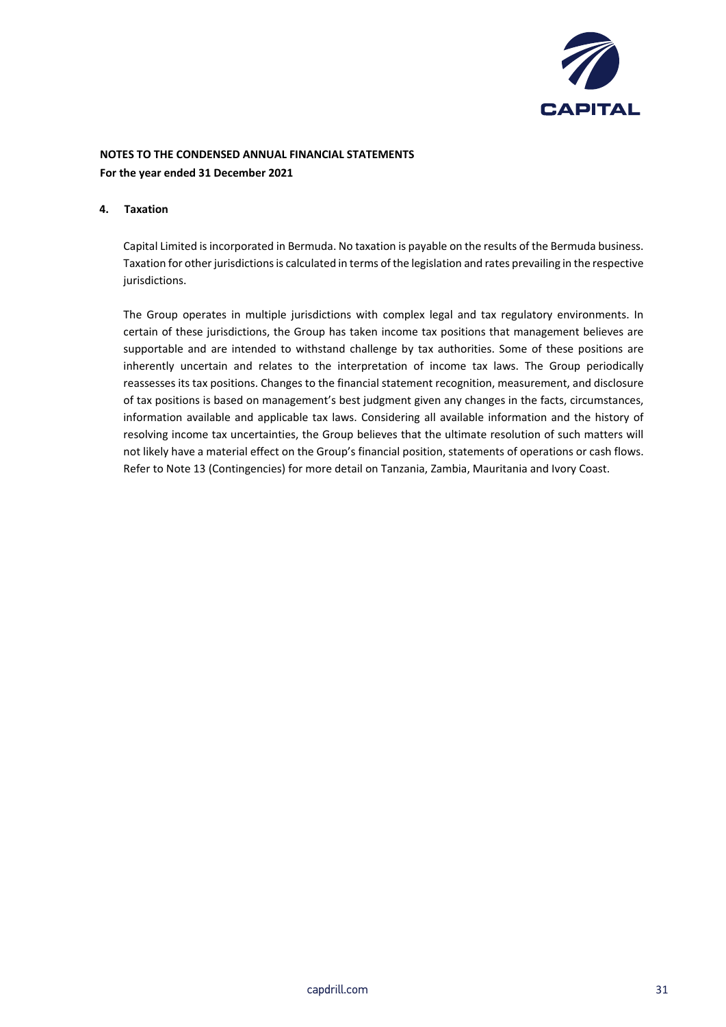

#### **4. Taxation**

Capital Limited is incorporated in Bermuda. No taxation is payable on the results of the Bermuda business. Taxation for other jurisdictions is calculated in terms of the legislation and rates prevailing in the respective jurisdictions.

The Group operates in multiple jurisdictions with complex legal and tax regulatory environments. In certain of these jurisdictions, the Group has taken income tax positions that management believes are supportable and are intended to withstand challenge by tax authorities. Some of these positions are inherently uncertain and relates to the interpretation of income tax laws. The Group periodically reassesses its tax positions. Changes to the financial statement recognition, measurement, and disclosure of tax positions is based on management's best judgment given any changes in the facts, circumstances, information available and applicable tax laws. Considering all available information and the history of resolving income tax uncertainties, the Group believes that the ultimate resolution of such matters will not likely have a material effect on the Group's financial position, statements of operations or cash flows. Refer to Note 13 (Contingencies) for more detail on Tanzania, Zambia, Mauritania and Ivory Coast.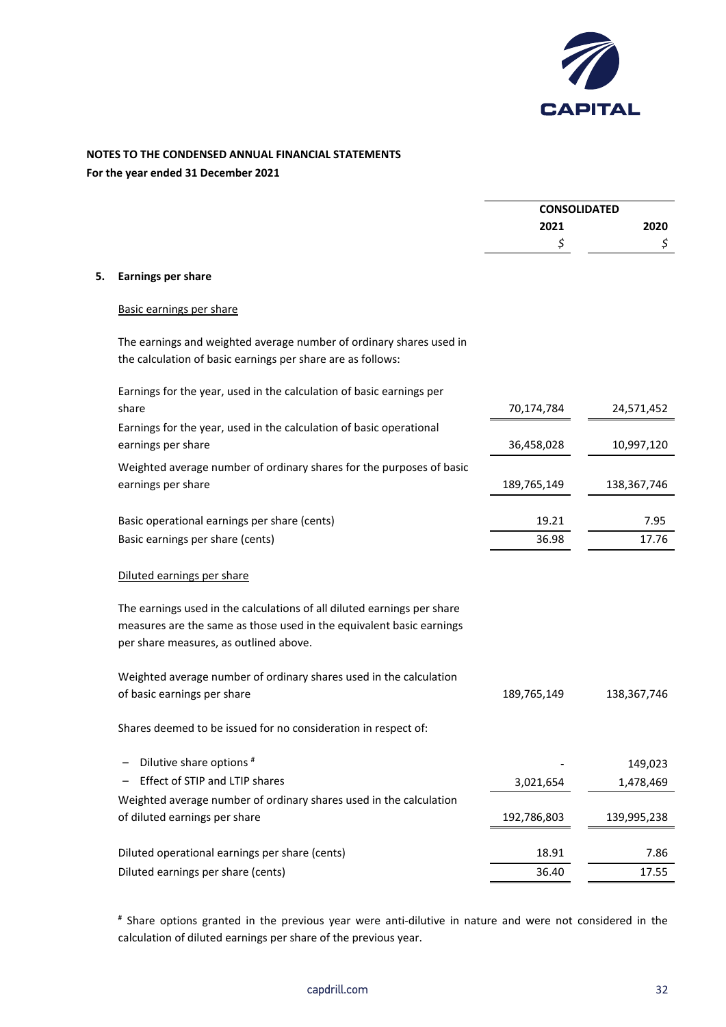

# **NOTES TO THE CONDENSED ANNUAL FINANCIAL STATEMENTS**

**For the year ended 31 December 2021**

|    |                                                                                                                                                                                           | <b>CONSOLIDATED</b> |               |
|----|-------------------------------------------------------------------------------------------------------------------------------------------------------------------------------------------|---------------------|---------------|
|    |                                                                                                                                                                                           | 2021                | 2020          |
|    |                                                                                                                                                                                           | \$                  | \$            |
| 5. | <b>Earnings per share</b>                                                                                                                                                                 |                     |               |
|    | Basic earnings per share                                                                                                                                                                  |                     |               |
|    | The earnings and weighted average number of ordinary shares used in<br>the calculation of basic earnings per share are as follows:                                                        |                     |               |
|    | Earnings for the year, used in the calculation of basic earnings per<br>share                                                                                                             | 70,174,784          | 24,571,452    |
|    | Earnings for the year, used in the calculation of basic operational                                                                                                                       |                     |               |
|    | earnings per share                                                                                                                                                                        | 36,458,028          | 10,997,120    |
|    | Weighted average number of ordinary shares for the purposes of basic<br>earnings per share                                                                                                | 189,765,149         | 138, 367, 746 |
|    | Basic operational earnings per share (cents)                                                                                                                                              | 19.21               | 7.95          |
|    | Basic earnings per share (cents)                                                                                                                                                          | 36.98               | 17.76         |
|    | Diluted earnings per share                                                                                                                                                                |                     |               |
|    | The earnings used in the calculations of all diluted earnings per share<br>measures are the same as those used in the equivalent basic earnings<br>per share measures, as outlined above. |                     |               |
|    | Weighted average number of ordinary shares used in the calculation                                                                                                                        |                     |               |
|    | of basic earnings per share                                                                                                                                                               | 189,765,149         | 138, 367, 746 |
|    | Shares deemed to be issued for no consideration in respect of:                                                                                                                            |                     |               |
|    | Dilutive share options #                                                                                                                                                                  |                     | 149,023       |
|    | Effect of STIP and LTIP shares                                                                                                                                                            | 3,021,654           | 1,478,469     |
|    | Weighted average number of ordinary shares used in the calculation                                                                                                                        |                     |               |
|    | of diluted earnings per share                                                                                                                                                             | 192,786,803         | 139,995,238   |
|    | Diluted operational earnings per share (cents)                                                                                                                                            | 18.91               | 7.86          |
|    | Diluted earnings per share (cents)                                                                                                                                                        | 36.40               | 17.55         |
|    |                                                                                                                                                                                           |                     |               |

# Share options granted in the previous year were anti-dilutive in nature and were not considered in the calculation of diluted earnings per share of the previous year.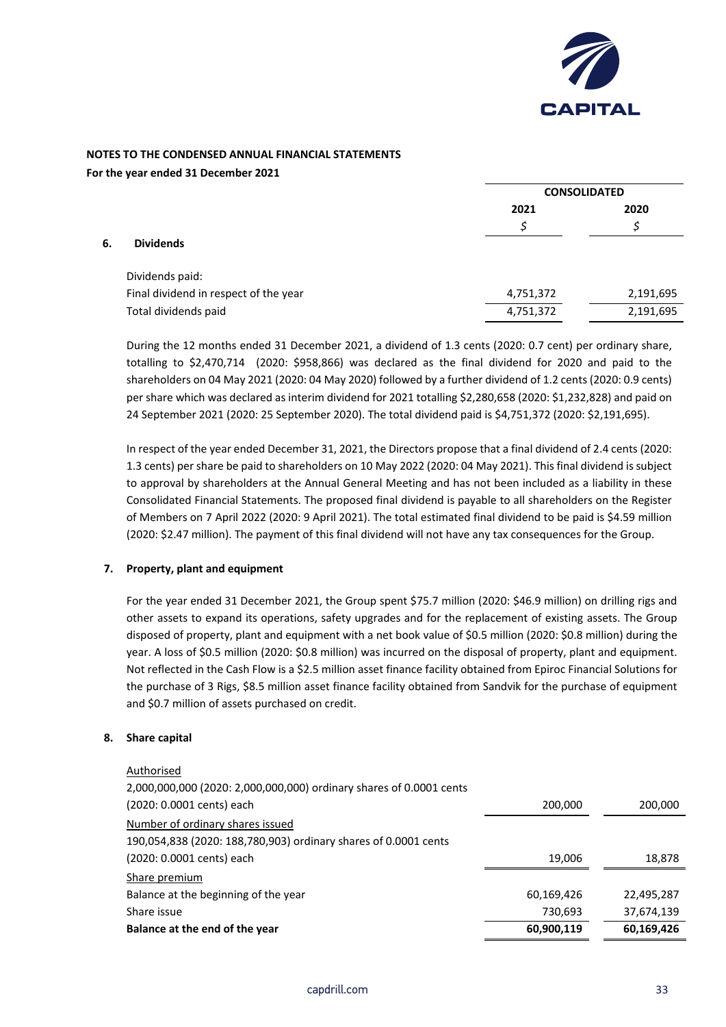

## **NOTES TO THE CONDENSED ANNUAL FINANCIAL STATEMENTS**

**For the year ended 31 December 2021**

|    |                                       | <b>CONSOLIDATED</b> |           |  |
|----|---------------------------------------|---------------------|-----------|--|
|    |                                       | 2021                | 2020      |  |
|    |                                       | Ś                   | c         |  |
| 6. | <b>Dividends</b>                      |                     |           |  |
|    | Dividends paid:                       |                     |           |  |
|    | Final dividend in respect of the year | 4,751,372           | 2,191,695 |  |
|    | Total dividends paid                  | 4,751,372           | 2,191,695 |  |
|    |                                       |                     |           |  |

During the 12 months ended 31 December 2021, a dividend of 1.3 cents (2020: 0.7 cent) per ordinary share, totalling to \$2,470,714 (2020: \$958,866) was declared as the final dividend for 2020 and paid to the shareholders on 04 May 2021 (2020: 04 May 2020) followed by a further dividend of 1.2 cents (2020: 0.9 cents) per share which was declared as interim dividend for 2021 totalling \$2,280,658 (2020: \$1,232,828) and paid on 24 September 2021 (2020: 25 September 2020). The total dividend paid is \$4,751,372 (2020: \$2,191,695).

In respect of the year ended December 31, 2021, the Directors propose that a final dividend of 2.4 cents (2020: 1.3 cents) per share be paid to shareholders on 10 May 2022 (2020: 04 May 2021). This final dividend is subject to approval by shareholders at the Annual General Meeting and has not been included as a liability in these Consolidated Financial Statements. The proposed final dividend is payable to all shareholders on the Register of Members on 7 April 2022 (2020: 9 April 2021). The total estimated final dividend to be paid is \$4.59 million (2020: \$2.47 million). The payment of this final dividend will not have any tax consequences for the Group.

## **7. Property, plant and equipment**

For the year ended 31 December 2021, the Group spent \$75.7 million (2020: \$46.9 million) on drilling rigs and other assets to expand its operations, safety upgrades and for the replacement of existing assets. The Group disposed of property, plant and equipment with a net book value of \$0.5 million (2020: \$0.8 million) during the year. A loss of \$0.5 million (2020: \$0.8 million) was incurred on the disposal of property, plant and equipment. Not reflected in the Cash Flow is a \$2.5 million asset finance facility obtained from Epiroc Financial Solutions for the purchase of 3 Rigs, \$8.5 million asset finance facility obtained from Sandvik for the purchase of equipment and \$0.7 million of assets purchased on credit.

## **8. Share capital**

| Authorised                                                          |            |            |
|---------------------------------------------------------------------|------------|------------|
| 2,000,000,000 (2020: 2,000,000,000) ordinary shares of 0.0001 cents |            |            |
| (2020: 0.0001 cents) each                                           | 200,000    | 200,000    |
| Number of ordinary shares issued                                    |            |            |
| 190,054,838 (2020: 188,780,903) ordinary shares of 0.0001 cents     |            |            |
| (2020: 0.0001 cents) each                                           | 19,006     | 18,878     |
| Share premium                                                       |            |            |
| Balance at the beginning of the year                                | 60,169,426 | 22,495,287 |
| Share issue                                                         | 730,693    | 37,674,139 |
| Balance at the end of the year                                      | 60,900,119 | 60,169,426 |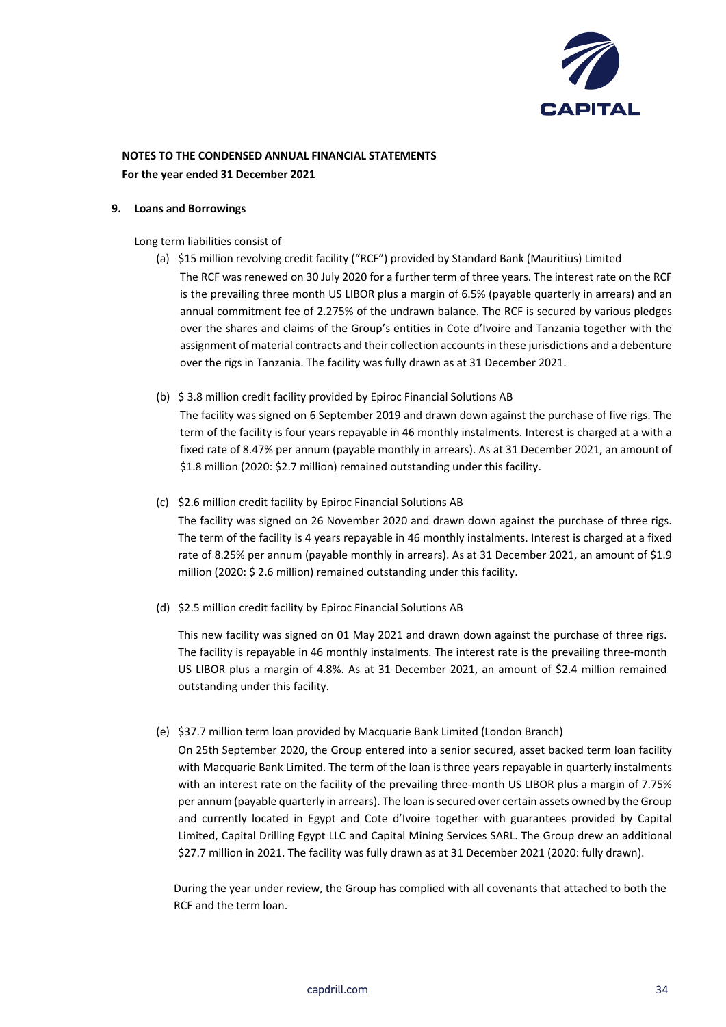

#### **9. Loans and Borrowings**

Long term liabilities consist of

- (a) \$15 million revolving credit facility ("RCF") provided by Standard Bank (Mauritius) Limited The RCF was renewed on 30 July 2020 for a further term of three years. The interest rate on the RCF is the prevailing three month US LIBOR plus a margin of 6.5% (payable quarterly in arrears) and an annual commitment fee of 2.275% of the undrawn balance. The RCF is secured by various pledges over the shares and claims of the Group's entities in Cote d'Ivoire and Tanzania together with the assignment of material contracts and their collection accounts in these jurisdictions and a debenture over the rigs in Tanzania. The facility was fully drawn as at 31 December 2021.
- (b) \$ 3.8 million credit facility provided by Epiroc Financial Solutions AB

The facility was signed on 6 September 2019 and drawn down against the purchase of five rigs. The term of the facility is four years repayable in 46 monthly instalments. Interest is charged at a with a fixed rate of 8.47% per annum (payable monthly in arrears). As at 31 December 2021, an amount of \$1.8 million (2020: \$2.7 million) remained outstanding under this facility.

(c) \$2.6 million credit facility by Epiroc Financial Solutions AB

The facility was signed on 26 November 2020 and drawn down against the purchase of three rigs. The term of the facility is 4 years repayable in 46 monthly instalments. Interest is charged at a fixed rate of 8.25% per annum (payable monthly in arrears). As at 31 December 2021, an amount of \$1.9 million (2020: \$ 2.6 million) remained outstanding under this facility.

(d) \$2.5 million credit facility by Epiroc Financial Solutions AB

This new facility was signed on 01 May 2021 and drawn down against the purchase of three rigs. The facility is repayable in 46 monthly instalments. The interest rate is the prevailing three-month US LIBOR plus a margin of 4.8%. As at 31 December 2021, an amount of \$2.4 million remained outstanding under this facility.

#### (e) \$37.7 million term loan provided by Macquarie Bank Limited (London Branch)

On 25th September 2020, the Group entered into a senior secured, asset backed term loan facility with Macquarie Bank Limited. The term of the loan is three years repayable in quarterly instalments with an interest rate on the facility of the prevailing three-month US LIBOR plus a margin of 7.75% per annum (payable quarterly in arrears). The loan is secured over certain assets owned by the Group and currently located in Egypt and Cote d'Ivoire together with guarantees provided by Capital Limited, Capital Drilling Egypt LLC and Capital Mining Services SARL. The Group drew an additional \$27.7 million in 2021. The facility was fully drawn as at 31 December 2021 (2020: fully drawn).

During the year under review, the Group has complied with all covenants that attached to both the RCF and the term loan.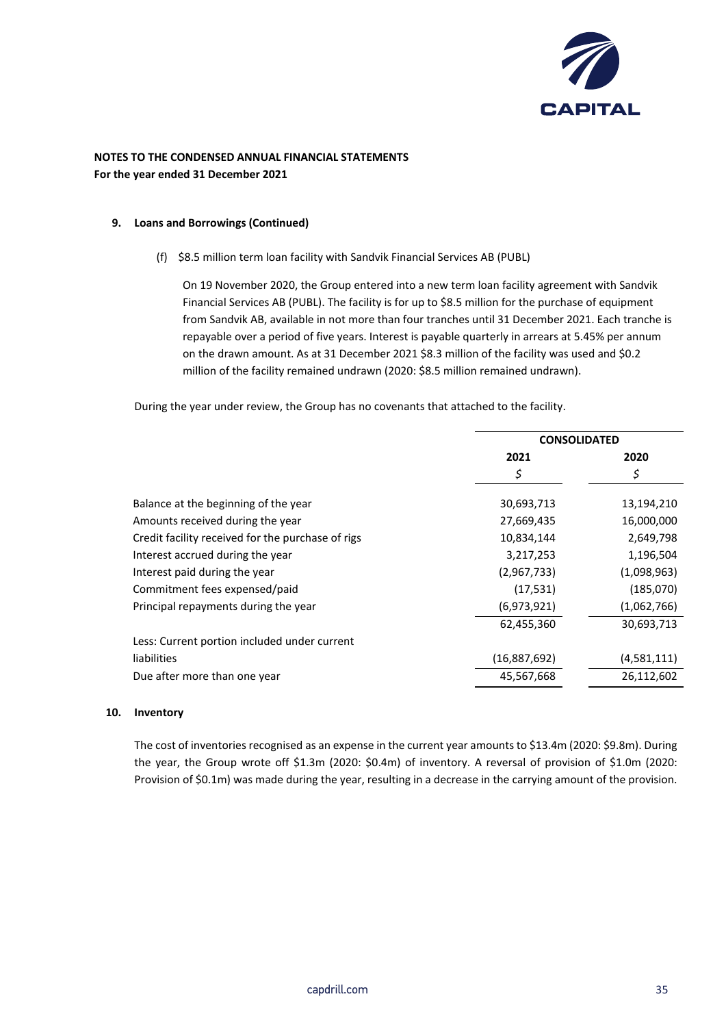

#### **9. Loans and Borrowings (Continued)**

#### (f) \$8.5 million term loan facility with Sandvik Financial Services AB (PUBL)

On 19 November 2020, the Group entered into a new term loan facility agreement with Sandvik Financial Services AB (PUBL). The facility is for up to \$8.5 million for the purchase of equipment from Sandvik AB, available in not more than four tranches until 31 December 2021. Each tranche is repayable over a period of five years. Interest is payable quarterly in arrears at 5.45% per annum on the drawn amount. As at 31 December 2021 \$8.3 million of the facility was used and \$0.2 million of the facility remained undrawn (2020: \$8.5 million remained undrawn).

During the year under review, the Group has no covenants that attached to the facility.

| 2021         | 2020                |
|--------------|---------------------|
| \$           | Ş                   |
| 30,693,713   | 13,194,210          |
| 27,669,435   | 16,000,000          |
| 10,834,144   | 2,649,798           |
| 3,217,253    | 1,196,504           |
| (2,967,733)  | (1,098,963)         |
| (17, 531)    | (185,070)           |
| (6,973,921)  | (1,062,766)         |
| 62,455,360   | 30,693,713          |
|              |                     |
| (16,887,692) | (4,581,111)         |
| 45,567,668   | 26,112,602          |
|              | <b>CONSOLIDATED</b> |

#### **10. Inventory**

The cost of inventories recognised as an expense in the current year amounts to \$13.4m (2020: \$9.8m). During the year, the Group wrote off \$1.3m (2020: \$0.4m) of inventory. A reversal of provision of \$1.0m (2020: Provision of \$0.1m) was made during the year, resulting in a decrease in the carrying amount of the provision.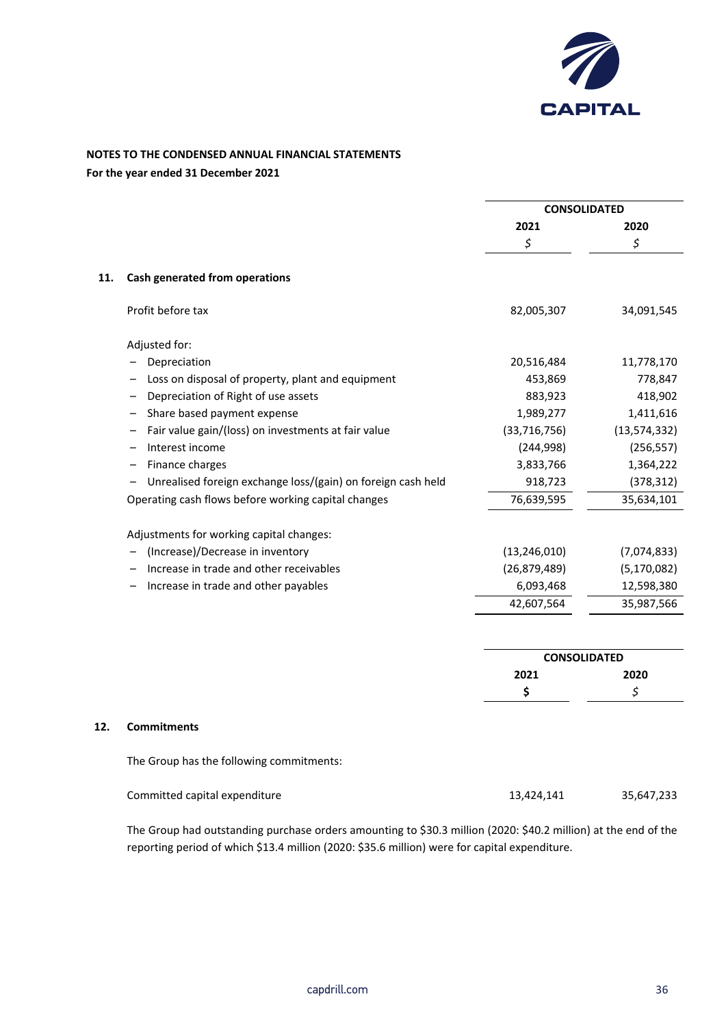

## **NOTES TO THE CONDENSED ANNUAL FINANCIAL STATEMENTS**

**For the year ended 31 December 2021**

|     |                                                              | <b>CONSOLIDATED</b> |                |
|-----|--------------------------------------------------------------|---------------------|----------------|
|     |                                                              | 2021                | 2020           |
|     |                                                              | $\zeta$             | \$             |
| 11. | Cash generated from operations                               |                     |                |
|     | Profit before tax                                            | 82,005,307          | 34,091,545     |
|     | Adjusted for:                                                |                     |                |
|     | Depreciation                                                 | 20,516,484          | 11,778,170     |
|     | Loss on disposal of property, plant and equipment            | 453,869             | 778,847        |
|     | Depreciation of Right of use assets                          | 883,923             | 418,902        |
|     | Share based payment expense<br>-                             | 1,989,277           | 1,411,616      |
|     | Fair value gain/(loss) on investments at fair value          | (33, 716, 756)      | (13, 574, 332) |
|     | Interest income                                              | (244, 998)          | (256, 557)     |
|     | Finance charges                                              | 3,833,766           | 1,364,222      |
|     | Unrealised foreign exchange loss/(gain) on foreign cash held | 918,723             | (378, 312)     |
|     | Operating cash flows before working capital changes          | 76,639,595          | 35,634,101     |
|     | Adjustments for working capital changes:                     |                     |                |
|     | (Increase)/Decrease in inventory                             | (13, 246, 010)      | (7,074,833)    |
|     | Increase in trade and other receivables                      | (26, 879, 489)      | (5, 170, 082)  |
|     | Increase in trade and other payables                         | 6,093,468           | 12,598,380     |
|     |                                                              | 42,607,564          | 35,987,566     |
|     |                                                              |                     |                |
|     |                                                              | <b>CONSOLIDATED</b> |                |
|     |                                                              | 2021                | 2020           |
|     |                                                              | \$                  | \$             |

The Group has the following commitments:

| Committed capital expenditure | 13,424,141 | 35,647,233 |
|-------------------------------|------------|------------|
|-------------------------------|------------|------------|

The Group had outstanding purchase orders amounting to \$30.3 million (2020: \$40.2 million) at the end of the reporting period of which \$13.4 million (2020: \$35.6 million) were for capital expenditure.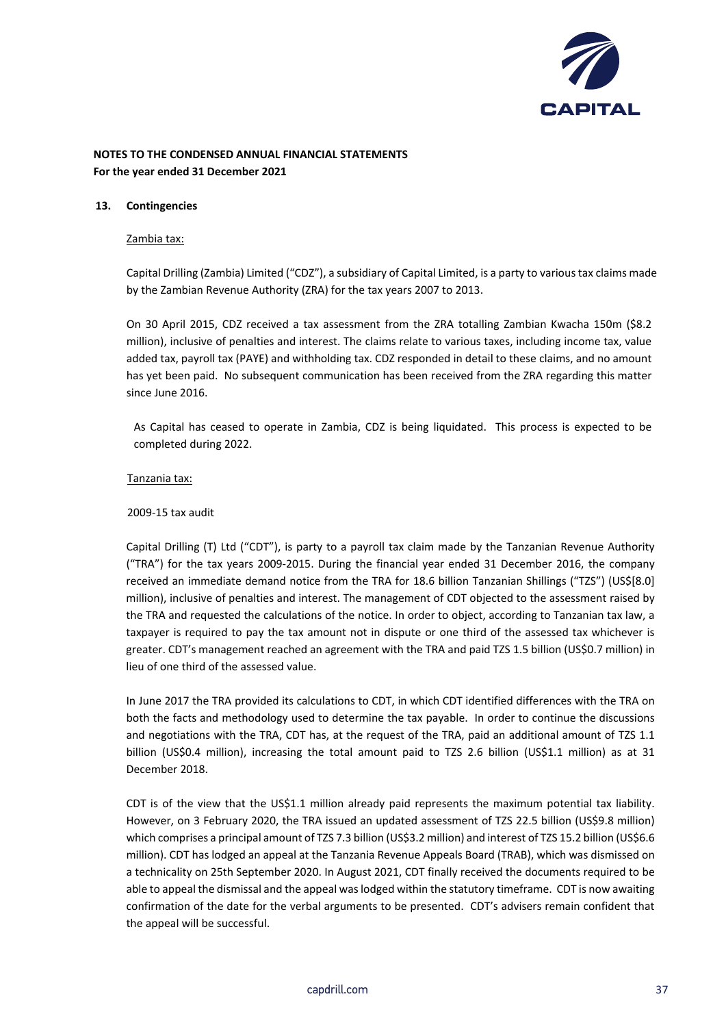

#### **13. Contingencies**

#### Zambia tax:

Capital Drilling (Zambia) Limited ("CDZ"), a subsidiary of Capital Limited, is a party to various tax claims made by the Zambian Revenue Authority (ZRA) for the tax years 2007 to 2013.

On 30 April 2015, CDZ received a tax assessment from the ZRA totalling Zambian Kwacha 150m (\$8.2 million), inclusive of penalties and interest. The claims relate to various taxes, including income tax, value added tax, payroll tax (PAYE) and withholding tax. CDZ responded in detail to these claims, and no amount has yet been paid. No subsequent communication has been received from the ZRA regarding this matter since June 2016.

As Capital has ceased to operate in Zambia, CDZ is being liquidated. This process is expected to be completed during 2022.

#### Tanzania tax:

#### 2009-15 tax audit

Capital Drilling (T) Ltd ("CDT"), is party to a payroll tax claim made by the Tanzanian Revenue Authority ("TRA") for the tax years 2009-2015. During the financial year ended 31 December 2016, the company received an immediate demand notice from the TRA for 18.6 billion Tanzanian Shillings ("TZS") (US\$[8.0] million), inclusive of penalties and interest. The management of CDT objected to the assessment raised by the TRA and requested the calculations of the notice. In order to object, according to Tanzanian tax law, a taxpayer is required to pay the tax amount not in dispute or one third of the assessed tax whichever is greater. CDT's management reached an agreement with the TRA and paid TZS 1.5 billion (US\$0.7 million) in lieu of one third of the assessed value.

In June 2017 the TRA provided its calculations to CDT, in which CDT identified differences with the TRA on both the facts and methodology used to determine the tax payable. In order to continue the discussions and negotiations with the TRA, CDT has, at the request of the TRA, paid an additional amount of TZS 1.1 billion (US\$0.4 million), increasing the total amount paid to TZS 2.6 billion (US\$1.1 million) as at 31 December 2018.

CDT is of the view that the US\$1.1 million already paid represents the maximum potential tax liability. However, on 3 February 2020, the TRA issued an updated assessment of TZS 22.5 billion (US\$9.8 million) which comprises a principal amount of TZS 7.3 billion (US\$3.2 million) and interest of TZS 15.2 billion (US\$6.6 million). CDT has lodged an appeal at the Tanzania Revenue Appeals Board (TRAB), which was dismissed on a technicality on 25th September 2020. In August 2021, CDT finally received the documents required to be able to appeal the dismissal and the appeal was lodged within the statutory timeframe. CDT is now awaiting confirmation of the date for the verbal arguments to be presented. CDT's advisers remain confident that the appeal will be successful.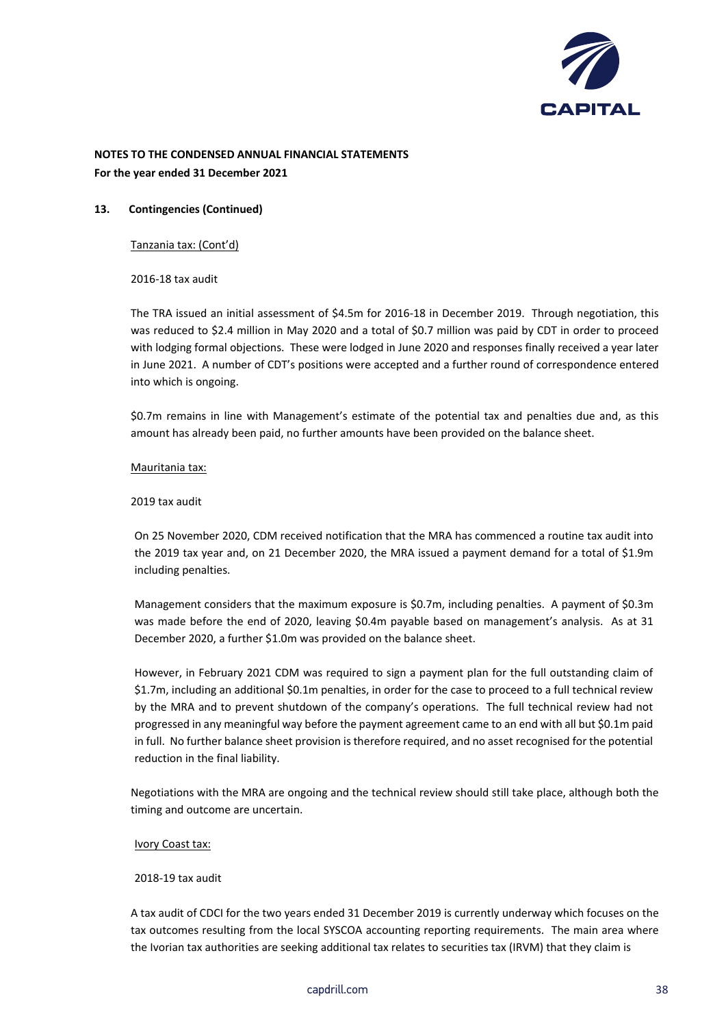

#### **13. Contingencies (Continued)**

Tanzania tax: (Cont'd)

2016-18 tax audit

The TRA issued an initial assessment of \$4.5m for 2016-18 in December 2019. Through negotiation, this was reduced to \$2.4 million in May 2020 and a total of \$0.7 million was paid by CDT in order to proceed with lodging formal objections. These were lodged in June 2020 and responses finally received a year later in June 2021. A number of CDT's positions were accepted and a further round of correspondence entered into which is ongoing.

\$0.7m remains in line with Management's estimate of the potential tax and penalties due and, as this amount has already been paid, no further amounts have been provided on the balance sheet.

#### Mauritania tax:

#### 2019 tax audit

On 25 November 2020, CDM received notification that the MRA has commenced a routine tax audit into the 2019 tax year and, on 21 December 2020, the MRA issued a payment demand for a total of \$1.9m including penalties.

Management considers that the maximum exposure is \$0.7m, including penalties. A payment of \$0.3m was made before the end of 2020, leaving \$0.4m payable based on management's analysis. As at 31 December 2020, a further \$1.0m was provided on the balance sheet.

However, in February 2021 CDM was required to sign a payment plan for the full outstanding claim of \$1.7m, including an additional \$0.1m penalties, in order for the case to proceed to a full technical review by the MRA and to prevent shutdown of the company's operations. The full technical review had not progressed in any meaningful way before the payment agreement came to an end with all but \$0.1m paid in full. No further balance sheet provision is therefore required, and no asset recognised for the potential reduction in the final liability.

Negotiations with the MRA are ongoing and the technical review should still take place, although both the timing and outcome are uncertain.

#### Ivory Coast tax:

#### 2018-19 tax audit

A tax audit of CDCI for the two years ended 31 December 2019 is currently underway which focuses on the tax outcomes resulting from the local SYSCOA accounting reporting requirements. The main area where the Ivorian tax authorities are seeking additional tax relates to securities tax (IRVM) that they claim is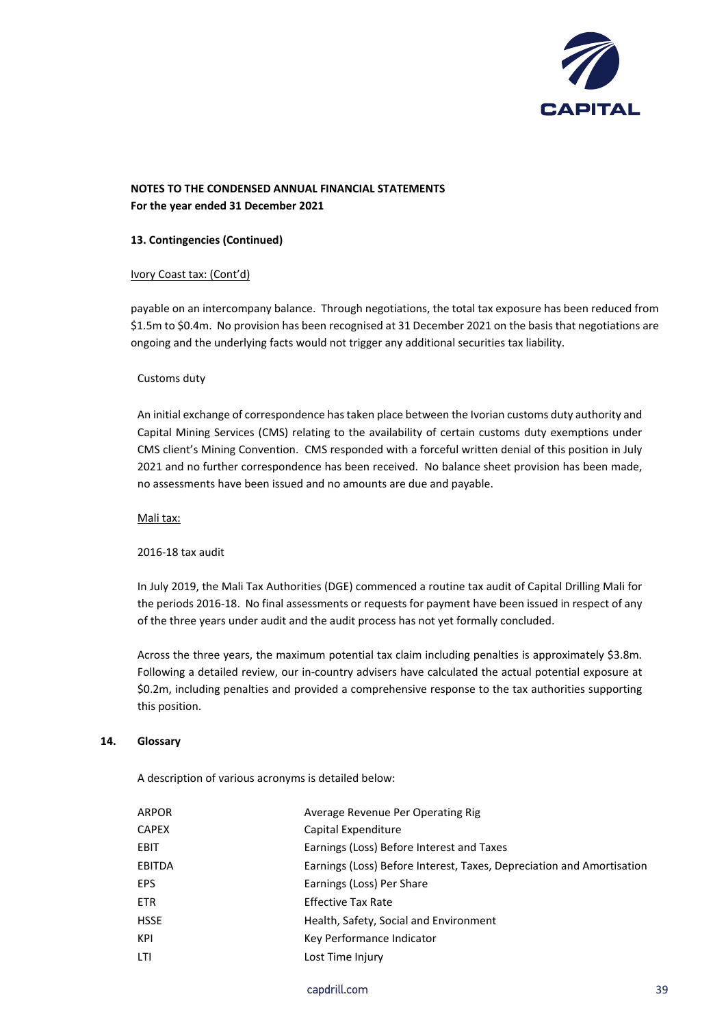

#### **13. Contingencies (Continued)**

#### Ivory Coast tax: (Cont'd)

payable on an intercompany balance. Through negotiations, the total tax exposure has been reduced from \$1.5m to \$0.4m. No provision has been recognised at 31 December 2021 on the basis that negotiations are ongoing and the underlying facts would not trigger any additional securities tax liability.

#### Customs duty

An initial exchange of correspondence has taken place between the Ivorian customs duty authority and Capital Mining Services (CMS) relating to the availability of certain customs duty exemptions under CMS client's Mining Convention. CMS responded with a forceful written denial of this position in July 2021 and no further correspondence has been received. No balance sheet provision has been made, no assessments have been issued and no amounts are due and payable.

Mali tax:

#### 2016-18 tax audit

In July 2019, the Mali Tax Authorities (DGE) commenced a routine tax audit of Capital Drilling Mali for the periods 2016-18. No final assessments or requests for payment have been issued in respect of any of the three years under audit and the audit process has not yet formally concluded.

Across the three years, the maximum potential tax claim including penalties is approximately \$3.8m. Following a detailed review, our in-country advisers have calculated the actual potential exposure at \$0.2m, including penalties and provided a comprehensive response to the tax authorities supporting this position.

#### **14. Glossary**

A description of various acronyms is detailed below:

| ARPOR         | Average Revenue Per Operating Rig                                     |
|---------------|-----------------------------------------------------------------------|
| <b>CAPEX</b>  | Capital Expenditure                                                   |
| <b>EBIT</b>   | Earnings (Loss) Before Interest and Taxes                             |
| <b>EBITDA</b> | Earnings (Loss) Before Interest, Taxes, Depreciation and Amortisation |
| <b>EPS</b>    | Earnings (Loss) Per Share                                             |
| <b>ETR</b>    | <b>Effective Tax Rate</b>                                             |
| <b>HSSE</b>   | Health, Safety, Social and Environment                                |
| KPI           | Key Performance Indicator                                             |
| LTI           | Lost Time Injury                                                      |
|               |                                                                       |